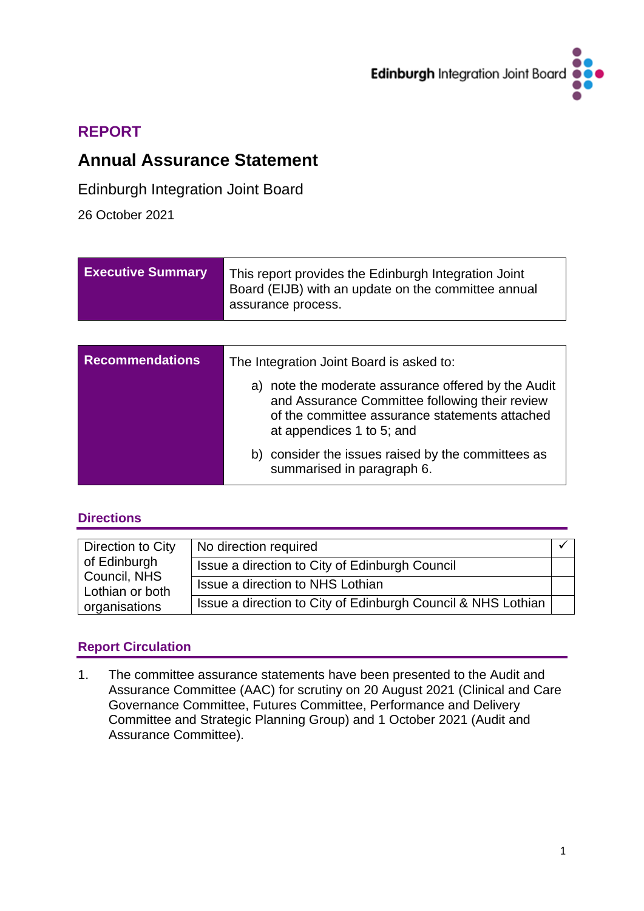

# **REPORT**

# **Annual Assurance Statement**

# Edinburgh Integration Joint Board

26 October 2021

| <b>Executive Summary</b> | This report provides the Edinburgh Integration Joint<br>Board (EIJB) with an update on the committee annual<br>assurance process.                                                    |  |
|--------------------------|--------------------------------------------------------------------------------------------------------------------------------------------------------------------------------------|--|
|                          |                                                                                                                                                                                      |  |
| <b>Recommendations</b>   | The Integration Joint Board is asked to:                                                                                                                                             |  |
|                          | a) note the moderate assurance offered by the Audit<br>and Assurance Committee following their review<br>of the committee assurance statements attached<br>at appendices 1 to 5; and |  |
|                          | b) consider the issues raised by the committees as<br>summarised in paragraph 6.                                                                                                     |  |

## **Directions**

| Direction to City               | No direction required                                        |  |
|---------------------------------|--------------------------------------------------------------|--|
| of Edinburgh                    | Issue a direction to City of Edinburgh Council               |  |
| Council, NHS<br>Lothian or both | Issue a direction to NHS Lothian                             |  |
| organisations                   | Issue a direction to City of Edinburgh Council & NHS Lothian |  |

# **Report Circulation**

1. The committee assurance statements have been presented to the Audit and Assurance Committee (AAC) for scrutiny on 20 August 2021 (Clinical and Care Governance Committee, Futures Committee, Performance and Delivery Committee and Strategic Planning Group) and 1 October 2021 (Audit and Assurance Committee).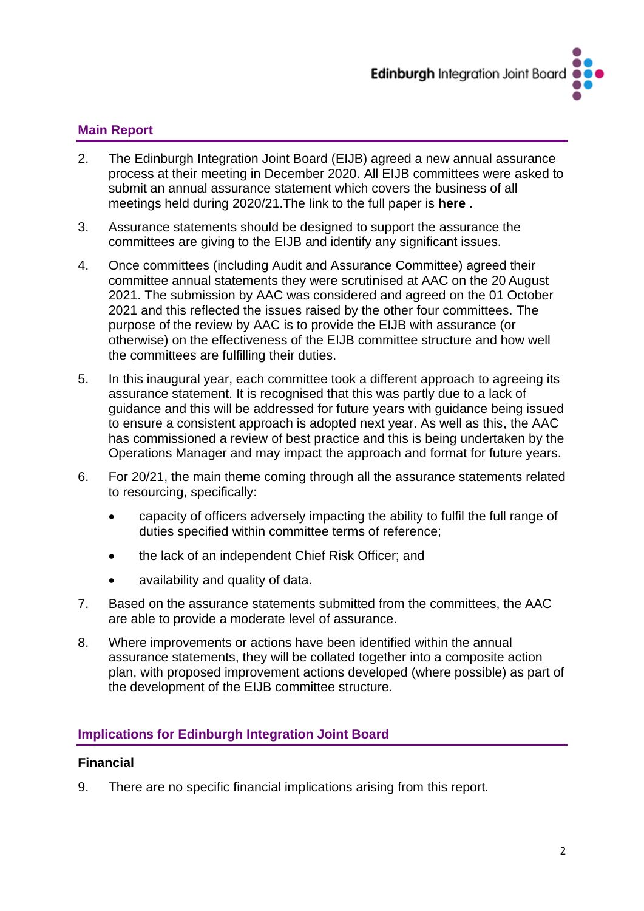

### **Main Report**

- 2. The Edinburgh Integration Joint Board (EIJB) agreed a new annual assurance process at their meeting in December 2020. All EIJB committees were asked to submit an annual assurance statement which covers the business of all meetings held during 2020/21.The link to the full paper is **[here](https://democracy.edinburgh.gov.uk/ieListDocuments.aspx?CId=160&MId=480&Ver=4)** .
- 3. Assurance statements should be designed to support the assurance the committees are giving to the EIJB and identify any significant issues.
- 4. Once committees (including Audit and Assurance Committee) agreed their committee annual statements they were scrutinised at AAC on the 20 August 2021. The submission by AAC was considered and agreed on the 01 October 2021 and this reflected the issues raised by the other four committees. The purpose of the review by AAC is to provide the EIJB with assurance (or otherwise) on the effectiveness of the EIJB committee structure and how well the committees are fulfilling their duties.
- 5. In this inaugural year, each committee took a different approach to agreeing its assurance statement. It is recognised that this was partly due to a lack of guidance and this will be addressed for future years with guidance being issued to ensure a consistent approach is adopted next year. As well as this, the AAC has commissioned a review of best practice and this is being undertaken by the Operations Manager and may impact the approach and format for future years.
- 6. For 20/21, the main theme coming through all the assurance statements related to resourcing, specifically:
	- capacity of officers adversely impacting the ability to fulfil the full range of duties specified within committee terms of reference;
	- the lack of an independent Chief Risk Officer; and
	- availability and quality of data.
- 7. Based on the assurance statements submitted from the committees, the AAC are able to provide a moderate level of assurance.
- 8. Where improvements or actions have been identified within the annual assurance statements, they will be collated together into a composite action plan, with proposed improvement actions developed (where possible) as part of the development of the EIJB committee structure.

#### **Implications for Edinburgh Integration Joint Board**

#### **Financial**

9. There are no specific financial implications arising from this report.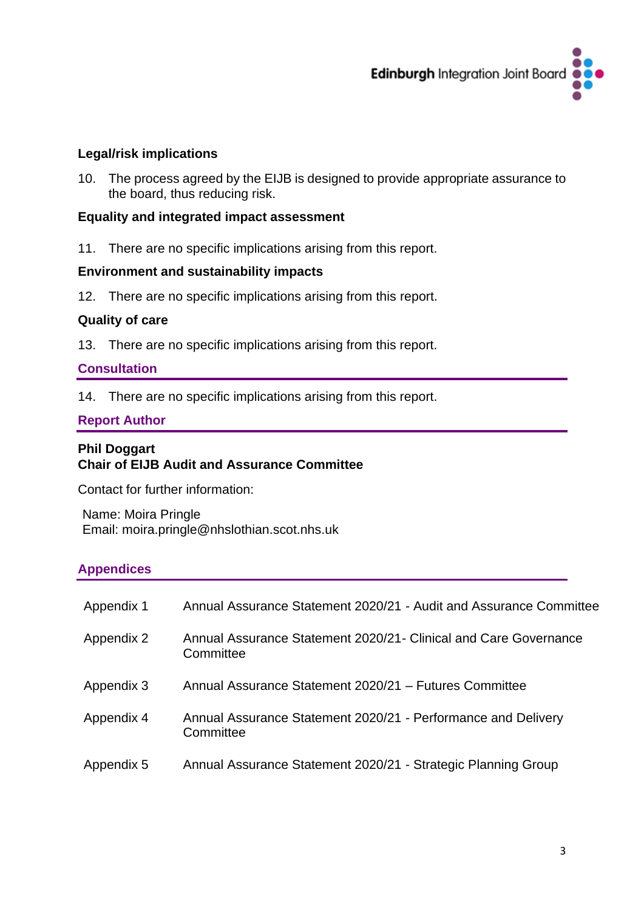

#### **Legal/risk implications**

10. The process agreed by the EIJB is designed to provide appropriate assurance to the board, thus reducing risk.

### **Equality and integrated impact assessment**

11. There are no specific implications arising from this report.

#### **Environment and sustainability impacts**

12. There are no specific implications arising from this report.

#### **Quality of care**

13. There are no specific implications arising from this report.

#### **Consultation**

14. There are no specific implications arising from this report.

### **Report Author**

#### **Phil Doggart Chair of EIJB Audit and Assurance Committee**

Contact for further information:

Name: Moira Pringle Email: [moira.pringle@nhslothian.scot.nhs.uk](mailto:moira.pringle@nhslothian.scot.nhs.uk)

#### **Appendices**

| Appendix 1 | Annual Assurance Statement 2020/21 - Audit and Assurance Committee             |
|------------|--------------------------------------------------------------------------------|
| Appendix 2 | Annual Assurance Statement 2020/21 - Clinical and Care Governance<br>Committee |
| Appendix 3 | Annual Assurance Statement 2020/21 - Futures Committee                         |
| Appendix 4 | Annual Assurance Statement 2020/21 - Performance and Delivery<br>Committee     |
| Appendix 5 | Annual Assurance Statement 2020/21 - Strategic Planning Group                  |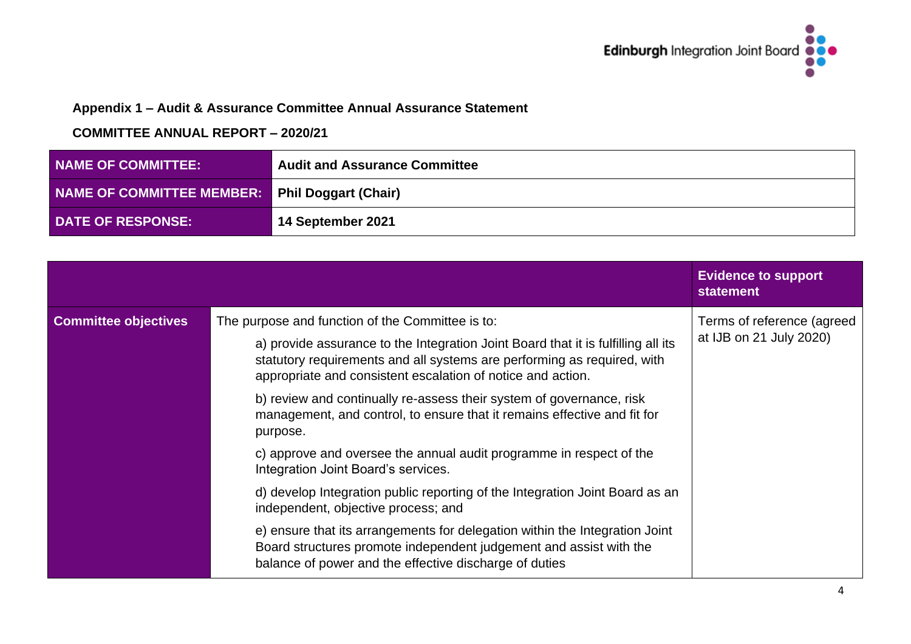

# **Appendix 1 – Audit & Assurance Committee Annual Assurance Statement**

| <b>NAME OF COMMITTEE:</b>                             | <b>Audit and Assurance Committee</b> |
|-------------------------------------------------------|--------------------------------------|
| <b>NAME OF COMMITTEE MEMBER:</b> Phil Doggart (Chair) |                                      |
| <b>DATE OF RESPONSE:</b>                              | <sup>1</sup> 14 September 2021       |

|                             |                                                                                                                                                                                                                                                                                 | <b>Evidence to support</b><br><b>statement</b>        |
|-----------------------------|---------------------------------------------------------------------------------------------------------------------------------------------------------------------------------------------------------------------------------------------------------------------------------|-------------------------------------------------------|
| <b>Committee objectives</b> | The purpose and function of the Committee is to:<br>a) provide assurance to the Integration Joint Board that it is fulfilling all its<br>statutory requirements and all systems are performing as required, with<br>appropriate and consistent escalation of notice and action. | Terms of reference (agreed<br>at IJB on 21 July 2020) |
|                             | b) review and continually re-assess their system of governance, risk<br>management, and control, to ensure that it remains effective and fit for<br>purpose.                                                                                                                    |                                                       |
|                             | c) approve and oversee the annual audit programme in respect of the<br>Integration Joint Board's services.                                                                                                                                                                      |                                                       |
|                             | d) develop Integration public reporting of the Integration Joint Board as an<br>independent, objective process; and                                                                                                                                                             |                                                       |
|                             | e) ensure that its arrangements for delegation within the Integration Joint<br>Board structures promote independent judgement and assist with the<br>balance of power and the effective discharge of duties                                                                     |                                                       |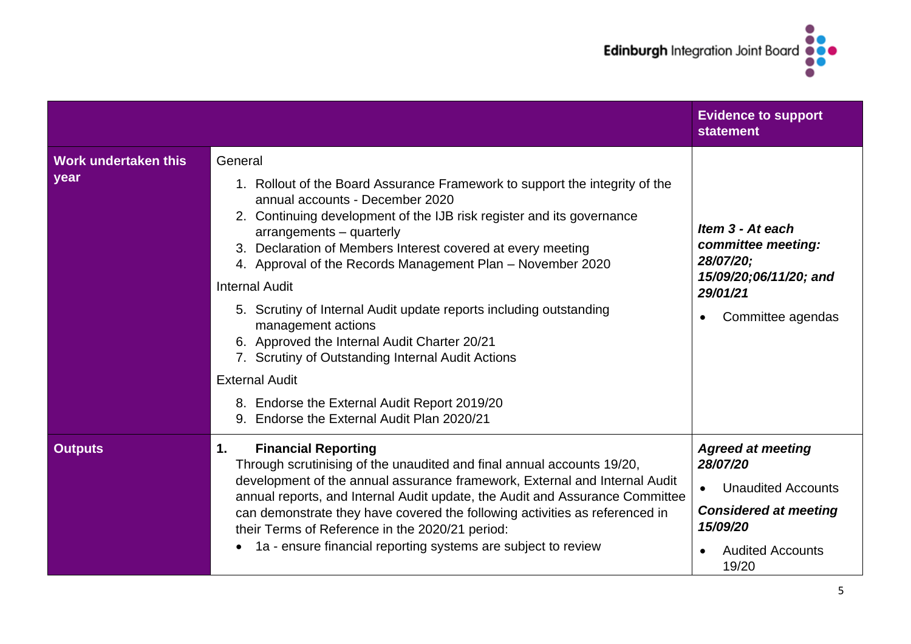

|                              |                                                                                                                                                                                                                                                                                                                                                                                                                                                                                                                                                                                                                                                                                                                 | <b>Evidence to support</b><br><b>statement</b>                                                                                                    |
|------------------------------|-----------------------------------------------------------------------------------------------------------------------------------------------------------------------------------------------------------------------------------------------------------------------------------------------------------------------------------------------------------------------------------------------------------------------------------------------------------------------------------------------------------------------------------------------------------------------------------------------------------------------------------------------------------------------------------------------------------------|---------------------------------------------------------------------------------------------------------------------------------------------------|
| Work undertaken this<br>year | General<br>1. Rollout of the Board Assurance Framework to support the integrity of the<br>annual accounts - December 2020<br>2. Continuing development of the IJB risk register and its governance<br>arrangements - quarterly<br>3. Declaration of Members Interest covered at every meeting<br>4. Approval of the Records Management Plan - November 2020<br><b>Internal Audit</b><br>5. Scrutiny of Internal Audit update reports including outstanding<br>management actions<br>6. Approved the Internal Audit Charter 20/21<br>7. Scrutiny of Outstanding Internal Audit Actions<br><b>External Audit</b><br>8. Endorse the External Audit Report 2019/20<br>Endorse the External Audit Plan 2020/21<br>9. | Item 3 - At each<br>committee meeting:<br>28/07/20;<br>15/09/20;06/11/20; and<br>29/01/21<br>Committee agendas                                    |
| <b>Outputs</b>               | <b>Financial Reporting</b><br>$\mathbf{1}$ .<br>Through scrutinising of the unaudited and final annual accounts 19/20,<br>development of the annual assurance framework, External and Internal Audit<br>annual reports, and Internal Audit update, the Audit and Assurance Committee<br>can demonstrate they have covered the following activities as referenced in<br>their Terms of Reference in the 2020/21 period:<br>1a - ensure financial reporting systems are subject to review<br>$\bullet$                                                                                                                                                                                                            | <b>Agreed at meeting</b><br>28/07/20<br><b>Unaudited Accounts</b><br><b>Considered at meeting</b><br>15/09/20<br><b>Audited Accounts</b><br>19/20 |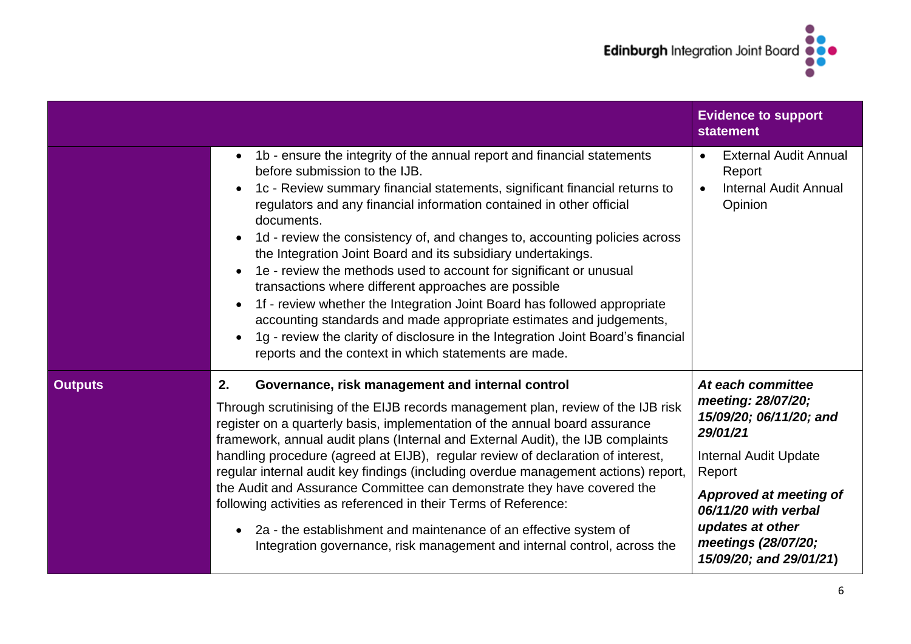

|                |                                                                                                                                                                                                                                                                                                                                                                                                                                                                                                                                                                                                                                                                                                                                                                                                                                                                                                 | <b>Evidence to support</b><br><b>statement</b>                                                                                                                                                                                                          |
|----------------|-------------------------------------------------------------------------------------------------------------------------------------------------------------------------------------------------------------------------------------------------------------------------------------------------------------------------------------------------------------------------------------------------------------------------------------------------------------------------------------------------------------------------------------------------------------------------------------------------------------------------------------------------------------------------------------------------------------------------------------------------------------------------------------------------------------------------------------------------------------------------------------------------|---------------------------------------------------------------------------------------------------------------------------------------------------------------------------------------------------------------------------------------------------------|
|                | 1b - ensure the integrity of the annual report and financial statements<br>$\bullet$<br>before submission to the IJB.<br>1c - Review summary financial statements, significant financial returns to<br>regulators and any financial information contained in other official<br>documents.<br>1d - review the consistency of, and changes to, accounting policies across<br>the Integration Joint Board and its subsidiary undertakings.<br>1e - review the methods used to account for significant or unusual<br>transactions where different approaches are possible<br>1f - review whether the Integration Joint Board has followed appropriate<br>$\bullet$<br>accounting standards and made appropriate estimates and judgements,<br>1g - review the clarity of disclosure in the Integration Joint Board's financial<br>$\bullet$<br>reports and the context in which statements are made. | <b>External Audit Annual</b><br>$\bullet$<br>Report<br><b>Internal Audit Annual</b><br>$\bullet$<br>Opinion                                                                                                                                             |
| <b>Outputs</b> | 2.<br>Governance, risk management and internal control<br>Through scrutinising of the EIJB records management plan, review of the IJB risk<br>register on a quarterly basis, implementation of the annual board assurance<br>framework, annual audit plans (Internal and External Audit), the IJB complaints<br>handling procedure (agreed at EIJB), regular review of declaration of interest,<br>regular internal audit key findings (including overdue management actions) report,<br>the Audit and Assurance Committee can demonstrate they have covered the<br>following activities as referenced in their Terms of Reference:<br>2a - the establishment and maintenance of an effective system of<br>$\bullet$<br>Integration governance, risk management and internal control, across the                                                                                                | At each committee<br>meeting: 28/07/20;<br>15/09/20; 06/11/20; and<br>29/01/21<br><b>Internal Audit Update</b><br>Report<br><b>Approved at meeting of</b><br>06/11/20 with verbal<br>updates at other<br>meetings (28/07/20;<br>15/09/20; and 29/01/21) |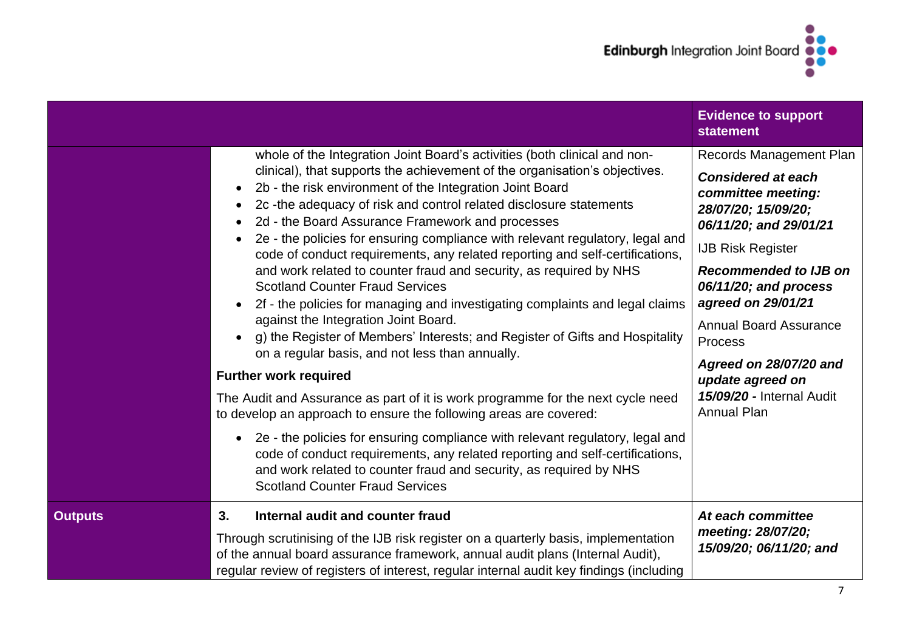

|                |                                                                                                                                                                                                                                                                                                                                                                                                                                                                                                                                                                                                                                                                                                                                                                                                                                                                                                                                                                                                                                                                                                                                                                                                                                                                                                                                                                                                                                    | <b>Evidence to support</b><br><b>statement</b>                                                                                                                                                                                                                                                                                                                                      |
|----------------|------------------------------------------------------------------------------------------------------------------------------------------------------------------------------------------------------------------------------------------------------------------------------------------------------------------------------------------------------------------------------------------------------------------------------------------------------------------------------------------------------------------------------------------------------------------------------------------------------------------------------------------------------------------------------------------------------------------------------------------------------------------------------------------------------------------------------------------------------------------------------------------------------------------------------------------------------------------------------------------------------------------------------------------------------------------------------------------------------------------------------------------------------------------------------------------------------------------------------------------------------------------------------------------------------------------------------------------------------------------------------------------------------------------------------------|-------------------------------------------------------------------------------------------------------------------------------------------------------------------------------------------------------------------------------------------------------------------------------------------------------------------------------------------------------------------------------------|
|                | whole of the Integration Joint Board's activities (both clinical and non-<br>clinical), that supports the achievement of the organisation's objectives.<br>2b - the risk environment of the Integration Joint Board<br>$\bullet$<br>2c-the adequacy of risk and control related disclosure statements<br>$\bullet$<br>2d - the Board Assurance Framework and processes<br>$\bullet$<br>2e - the policies for ensuring compliance with relevant regulatory, legal and<br>code of conduct requirements, any related reporting and self-certifications,<br>and work related to counter fraud and security, as required by NHS<br><b>Scotland Counter Fraud Services</b><br>2f - the policies for managing and investigating complaints and legal claims<br>$\bullet$<br>against the Integration Joint Board.<br>g) the Register of Members' Interests; and Register of Gifts and Hospitality<br>on a regular basis, and not less than annually.<br><b>Further work required</b><br>The Audit and Assurance as part of it is work programme for the next cycle need<br>to develop an approach to ensure the following areas are covered:<br>2e - the policies for ensuring compliance with relevant regulatory, legal and<br>$\bullet$<br>code of conduct requirements, any related reporting and self-certifications,<br>and work related to counter fraud and security, as required by NHS<br><b>Scotland Counter Fraud Services</b> | Records Management Plan<br><b>Considered at each</b><br>committee meeting:<br>28/07/20; 15/09/20;<br>06/11/20; and 29/01/21<br><b>IJB Risk Register</b><br><b>Recommended to IJB on</b><br>06/11/20; and process<br>agreed on 29/01/21<br><b>Annual Board Assurance</b><br>Process<br>Agreed on 28/07/20 and<br>update agreed on<br>15/09/20 - Internal Audit<br><b>Annual Plan</b> |
| <b>Outputs</b> | 3.<br>Internal audit and counter fraud<br>Through scrutinising of the IJB risk register on a quarterly basis, implementation<br>of the annual board assurance framework, annual audit plans (Internal Audit),<br>regular review of registers of interest, regular internal audit key findings (including                                                                                                                                                                                                                                                                                                                                                                                                                                                                                                                                                                                                                                                                                                                                                                                                                                                                                                                                                                                                                                                                                                                           | At each committee<br>meeting: 28/07/20;<br>15/09/20; 06/11/20; and                                                                                                                                                                                                                                                                                                                  |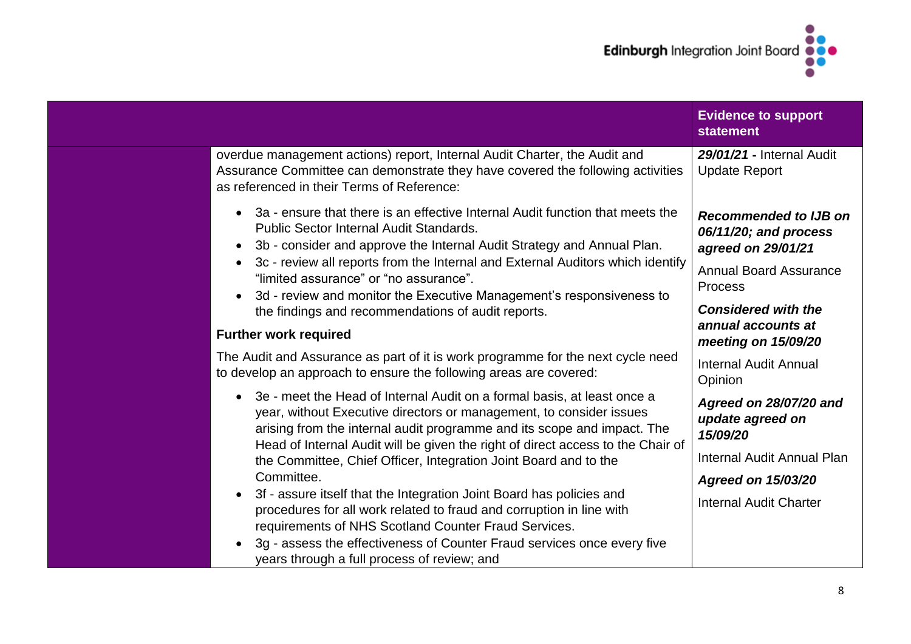

| overdue management actions) report, Internal Audit Charter, the Audit and<br>29/01/21 - Internal Audit<br>Assurance Committee can demonstrate they have covered the following activities<br><b>Update Report</b><br>as referenced in their Terms of Reference:<br>3a - ensure that there is an effective Internal Audit function that meets the<br><b>Public Sector Internal Audit Standards.</b><br>06/11/20; and process<br>3b - consider and approve the Internal Audit Strategy and Annual Plan.<br>$\bullet$<br>agreed on 29/01/21<br>3c - review all reports from the Internal and External Auditors which identify<br><b>Annual Board Assurance</b><br>"limited assurance" or "no assurance".<br><b>Process</b><br>3d - review and monitor the Executive Management's responsiveness to<br>$\bullet$<br><b>Considered with the</b><br>the findings and recommendations of audit reports.<br>annual accounts at<br><b>Further work required</b><br>meeting on 15/09/20<br>The Audit and Assurance as part of it is work programme for the next cycle need<br>Internal Audit Annual<br>to develop an approach to ensure the following areas are covered:<br>Opinion<br>3e - meet the Head of Internal Audit on a formal basis, at least once a<br>year, without Executive directors or management, to consider issues<br>update agreed on<br>arising from the internal audit programme and its scope and impact. The<br>15/09/20<br>Head of Internal Audit will be given the right of direct access to the Chair of<br>the Committee, Chief Officer, Integration Joint Board and to the<br>Committee.<br><b>Agreed on 15/03/20</b><br>3f - assure itself that the Integration Joint Board has policies and<br><b>Internal Audit Charter</b><br>procedures for all work related to fraud and corruption in line with<br>requirements of NHS Scotland Counter Fraud Services. |                                                                         | <b>Evidence to support</b><br><b>statement</b> |
|----------------------------------------------------------------------------------------------------------------------------------------------------------------------------------------------------------------------------------------------------------------------------------------------------------------------------------------------------------------------------------------------------------------------------------------------------------------------------------------------------------------------------------------------------------------------------------------------------------------------------------------------------------------------------------------------------------------------------------------------------------------------------------------------------------------------------------------------------------------------------------------------------------------------------------------------------------------------------------------------------------------------------------------------------------------------------------------------------------------------------------------------------------------------------------------------------------------------------------------------------------------------------------------------------------------------------------------------------------------------------------------------------------------------------------------------------------------------------------------------------------------------------------------------------------------------------------------------------------------------------------------------------------------------------------------------------------------------------------------------------------------------------------------------------------------------------------------------------------------------------------|-------------------------------------------------------------------------|------------------------------------------------|
|                                                                                                                                                                                                                                                                                                                                                                                                                                                                                                                                                                                                                                                                                                                                                                                                                                                                                                                                                                                                                                                                                                                                                                                                                                                                                                                                                                                                                                                                                                                                                                                                                                                                                                                                                                                                                                                                                  |                                                                         |                                                |
|                                                                                                                                                                                                                                                                                                                                                                                                                                                                                                                                                                                                                                                                                                                                                                                                                                                                                                                                                                                                                                                                                                                                                                                                                                                                                                                                                                                                                                                                                                                                                                                                                                                                                                                                                                                                                                                                                  |                                                                         | <b>Recommended to IJB on</b>                   |
|                                                                                                                                                                                                                                                                                                                                                                                                                                                                                                                                                                                                                                                                                                                                                                                                                                                                                                                                                                                                                                                                                                                                                                                                                                                                                                                                                                                                                                                                                                                                                                                                                                                                                                                                                                                                                                                                                  |                                                                         |                                                |
|                                                                                                                                                                                                                                                                                                                                                                                                                                                                                                                                                                                                                                                                                                                                                                                                                                                                                                                                                                                                                                                                                                                                                                                                                                                                                                                                                                                                                                                                                                                                                                                                                                                                                                                                                                                                                                                                                  |                                                                         |                                                |
|                                                                                                                                                                                                                                                                                                                                                                                                                                                                                                                                                                                                                                                                                                                                                                                                                                                                                                                                                                                                                                                                                                                                                                                                                                                                                                                                                                                                                                                                                                                                                                                                                                                                                                                                                                                                                                                                                  |                                                                         |                                                |
|                                                                                                                                                                                                                                                                                                                                                                                                                                                                                                                                                                                                                                                                                                                                                                                                                                                                                                                                                                                                                                                                                                                                                                                                                                                                                                                                                                                                                                                                                                                                                                                                                                                                                                                                                                                                                                                                                  |                                                                         |                                                |
|                                                                                                                                                                                                                                                                                                                                                                                                                                                                                                                                                                                                                                                                                                                                                                                                                                                                                                                                                                                                                                                                                                                                                                                                                                                                                                                                                                                                                                                                                                                                                                                                                                                                                                                                                                                                                                                                                  |                                                                         | Agreed on 28/07/20 and                         |
|                                                                                                                                                                                                                                                                                                                                                                                                                                                                                                                                                                                                                                                                                                                                                                                                                                                                                                                                                                                                                                                                                                                                                                                                                                                                                                                                                                                                                                                                                                                                                                                                                                                                                                                                                                                                                                                                                  |                                                                         | Internal Audit Annual Plan                     |
|                                                                                                                                                                                                                                                                                                                                                                                                                                                                                                                                                                                                                                                                                                                                                                                                                                                                                                                                                                                                                                                                                                                                                                                                                                                                                                                                                                                                                                                                                                                                                                                                                                                                                                                                                                                                                                                                                  |                                                                         |                                                |
| years through a full process of review; and                                                                                                                                                                                                                                                                                                                                                                                                                                                                                                                                                                                                                                                                                                                                                                                                                                                                                                                                                                                                                                                                                                                                                                                                                                                                                                                                                                                                                                                                                                                                                                                                                                                                                                                                                                                                                                      | 3g - assess the effectiveness of Counter Fraud services once every five |                                                |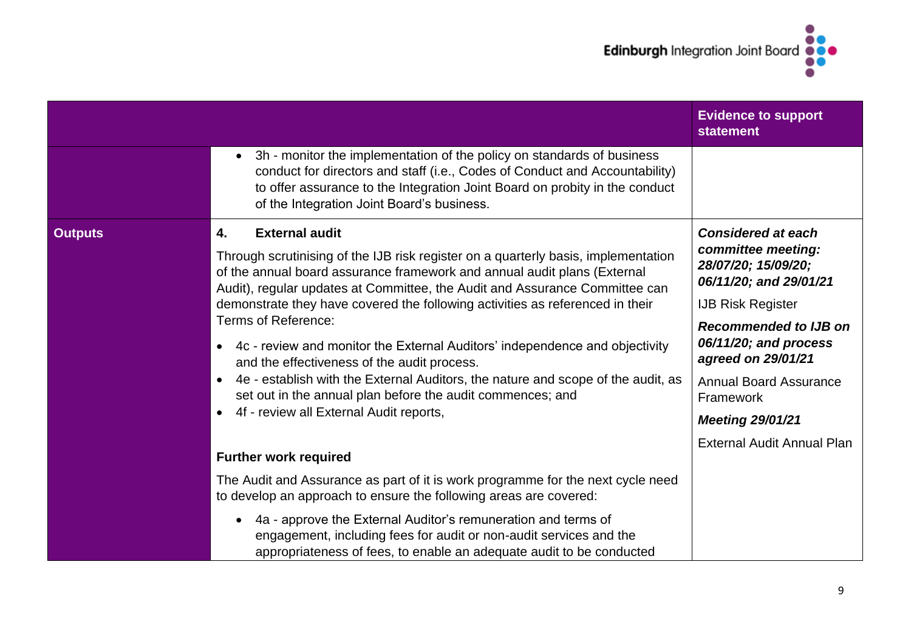

|                |                                                                                                                                                                                                                                                                                                                                                                                                                                                                                                                                                                                                                                                                                                                                                        | <b>Evidence to support</b><br><b>statement</b>                                                                                                                                                                                                                                       |
|----------------|--------------------------------------------------------------------------------------------------------------------------------------------------------------------------------------------------------------------------------------------------------------------------------------------------------------------------------------------------------------------------------------------------------------------------------------------------------------------------------------------------------------------------------------------------------------------------------------------------------------------------------------------------------------------------------------------------------------------------------------------------------|--------------------------------------------------------------------------------------------------------------------------------------------------------------------------------------------------------------------------------------------------------------------------------------|
|                | 3h - monitor the implementation of the policy on standards of business<br>conduct for directors and staff (i.e., Codes of Conduct and Accountability)<br>to offer assurance to the Integration Joint Board on probity in the conduct<br>of the Integration Joint Board's business.                                                                                                                                                                                                                                                                                                                                                                                                                                                                     |                                                                                                                                                                                                                                                                                      |
| <b>Outputs</b> | <b>External audit</b><br>4.<br>Through scrutinising of the IJB risk register on a quarterly basis, implementation<br>of the annual board assurance framework and annual audit plans (External<br>Audit), regular updates at Committee, the Audit and Assurance Committee can<br>demonstrate they have covered the following activities as referenced in their<br>Terms of Reference:<br>4c - review and monitor the External Auditors' independence and objectivity<br>$\bullet$<br>and the effectiveness of the audit process.<br>4e - establish with the External Auditors, the nature and scope of the audit, as<br>$\bullet$<br>set out in the annual plan before the audit commences; and<br>4f - review all External Audit reports,<br>$\bullet$ | <b>Considered at each</b><br>committee meeting:<br>28/07/20; 15/09/20;<br>06/11/20; and 29/01/21<br><b>IJB Risk Register</b><br><b>Recommended to IJB on</b><br>06/11/20; and process<br>agreed on 29/01/21<br><b>Annual Board Assurance</b><br>Framework<br><b>Meeting 29/01/21</b> |
|                | <b>Further work required</b><br>The Audit and Assurance as part of it is work programme for the next cycle need<br>to develop an approach to ensure the following areas are covered:<br>4a - approve the External Auditor's remuneration and terms of<br>$\bullet$<br>engagement, including fees for audit or non-audit services and the<br>appropriateness of fees, to enable an adequate audit to be conducted                                                                                                                                                                                                                                                                                                                                       | <b>External Audit Annual Plan</b>                                                                                                                                                                                                                                                    |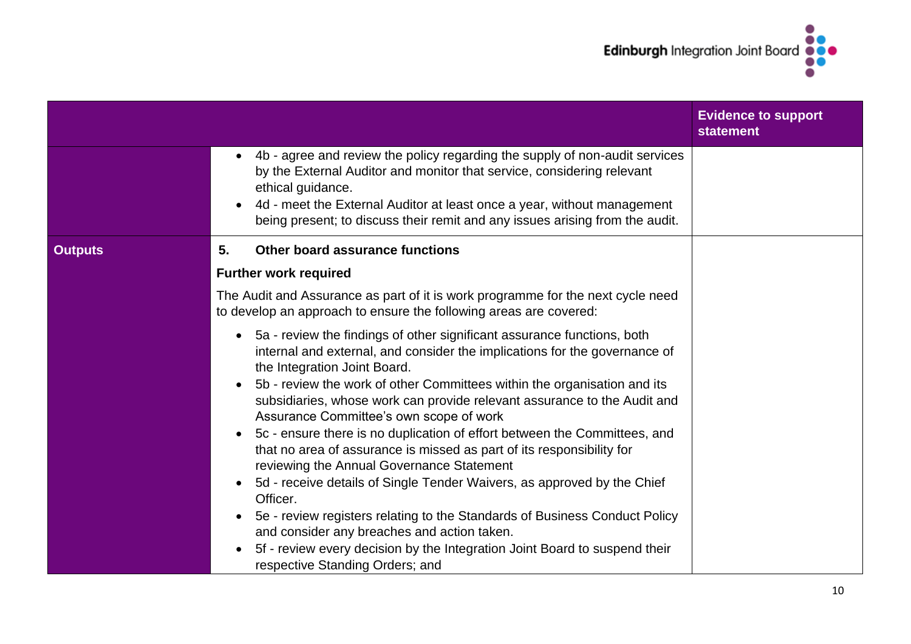

|                |                                                                                                                                                                                                                                                                                                                                                                                                                                                                                                                                                                                                                                                                                                                                                                                                                                                                                                                                                                                      | <b>Evidence to support</b><br><b>statement</b> |
|----------------|--------------------------------------------------------------------------------------------------------------------------------------------------------------------------------------------------------------------------------------------------------------------------------------------------------------------------------------------------------------------------------------------------------------------------------------------------------------------------------------------------------------------------------------------------------------------------------------------------------------------------------------------------------------------------------------------------------------------------------------------------------------------------------------------------------------------------------------------------------------------------------------------------------------------------------------------------------------------------------------|------------------------------------------------|
|                | 4b - agree and review the policy regarding the supply of non-audit services<br>$\bullet$<br>by the External Auditor and monitor that service, considering relevant<br>ethical guidance.<br>4d - meet the External Auditor at least once a year, without management<br>$\bullet$<br>being present; to discuss their remit and any issues arising from the audit.                                                                                                                                                                                                                                                                                                                                                                                                                                                                                                                                                                                                                      |                                                |
| <b>Outputs</b> | <b>Other board assurance functions</b><br>5.                                                                                                                                                                                                                                                                                                                                                                                                                                                                                                                                                                                                                                                                                                                                                                                                                                                                                                                                         |                                                |
|                | <b>Further work required</b>                                                                                                                                                                                                                                                                                                                                                                                                                                                                                                                                                                                                                                                                                                                                                                                                                                                                                                                                                         |                                                |
|                | The Audit and Assurance as part of it is work programme for the next cycle need<br>to develop an approach to ensure the following areas are covered:                                                                                                                                                                                                                                                                                                                                                                                                                                                                                                                                                                                                                                                                                                                                                                                                                                 |                                                |
|                | 5a - review the findings of other significant assurance functions, both<br>$\bullet$<br>internal and external, and consider the implications for the governance of<br>the Integration Joint Board.<br>5b - review the work of other Committees within the organisation and its<br>subsidiaries, whose work can provide relevant assurance to the Audit and<br>Assurance Committee's own scope of work<br>5c - ensure there is no duplication of effort between the Committees, and<br>$\bullet$<br>that no area of assurance is missed as part of its responsibility for<br>reviewing the Annual Governance Statement<br>5d - receive details of Single Tender Waivers, as approved by the Chief<br>$\bullet$<br>Officer.<br>5e - review registers relating to the Standards of Business Conduct Policy<br>$\bullet$<br>and consider any breaches and action taken.<br>5f - review every decision by the Integration Joint Board to suspend their<br>respective Standing Orders; and |                                                |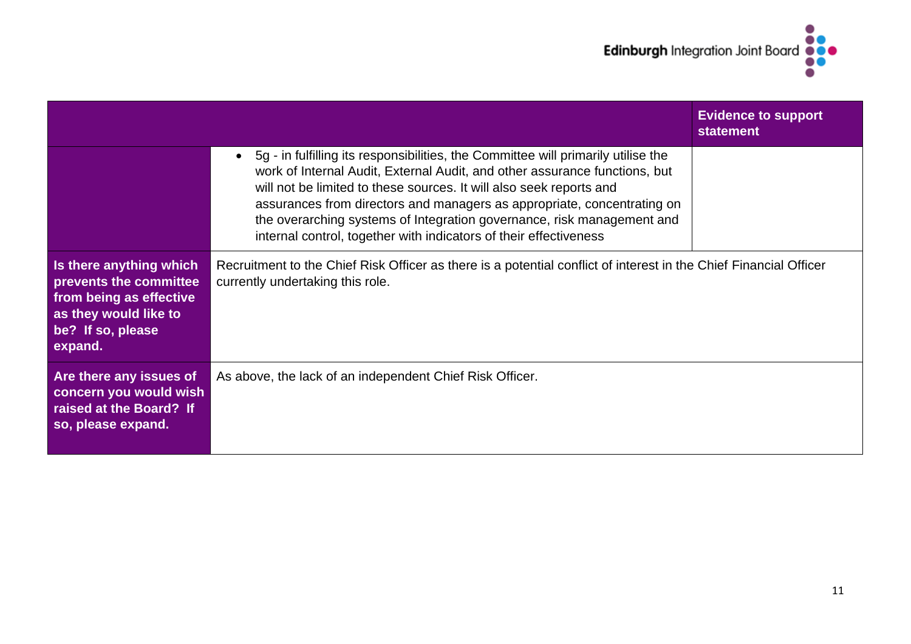

|                                                                                                                                       |                                                                                                                                                                                                                                                                                                                                                                                                                                                                               | <b>Evidence to support</b><br><b>statement</b> |
|---------------------------------------------------------------------------------------------------------------------------------------|-------------------------------------------------------------------------------------------------------------------------------------------------------------------------------------------------------------------------------------------------------------------------------------------------------------------------------------------------------------------------------------------------------------------------------------------------------------------------------|------------------------------------------------|
|                                                                                                                                       | 5g - in fulfilling its responsibilities, the Committee will primarily utilise the<br>$\bullet$<br>work of Internal Audit, External Audit, and other assurance functions, but<br>will not be limited to these sources. It will also seek reports and<br>assurances from directors and managers as appropriate, concentrating on<br>the overarching systems of Integration governance, risk management and<br>internal control, together with indicators of their effectiveness |                                                |
| Is there anything which<br>prevents the committee<br>from being as effective<br>as they would like to<br>be? If so, please<br>expand. | Recruitment to the Chief Risk Officer as there is a potential conflict of interest in the Chief Financial Officer<br>currently undertaking this role.                                                                                                                                                                                                                                                                                                                         |                                                |
| Are there any issues of<br>concern you would wish<br>raised at the Board? If<br>so, please expand.                                    | As above, the lack of an independent Chief Risk Officer.                                                                                                                                                                                                                                                                                                                                                                                                                      |                                                |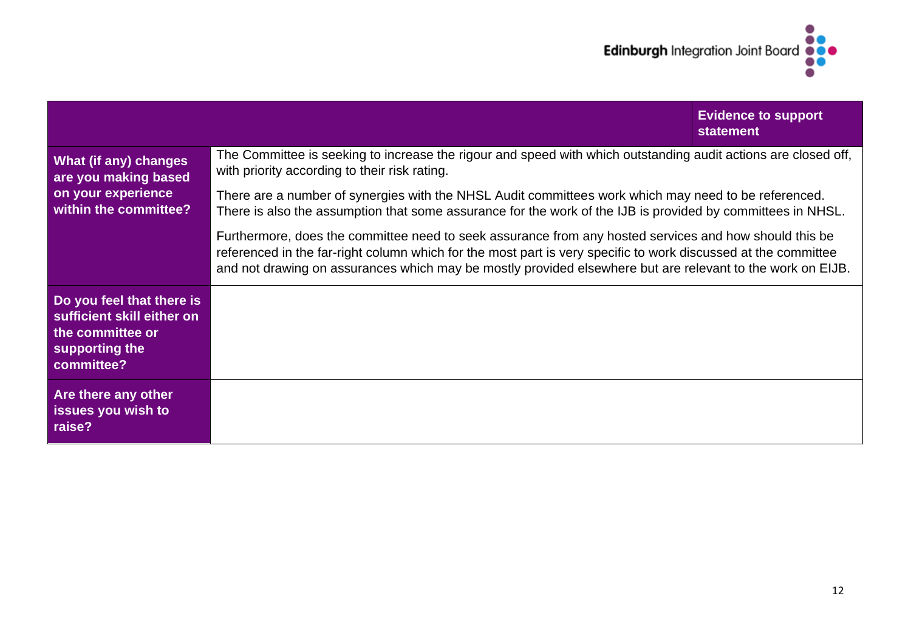

|                                                                                                             |                                                                                                                                                                                                                                                                                                                                        | <b>Evidence to support</b><br><b>statement</b> |
|-------------------------------------------------------------------------------------------------------------|----------------------------------------------------------------------------------------------------------------------------------------------------------------------------------------------------------------------------------------------------------------------------------------------------------------------------------------|------------------------------------------------|
| What (if any) changes<br>are you making based<br>on your experience<br>within the committee?                | The Committee is seeking to increase the rigour and speed with which outstanding audit actions are closed off,<br>with priority according to their risk rating.                                                                                                                                                                        |                                                |
|                                                                                                             | There are a number of synergies with the NHSL Audit committees work which may need to be referenced.<br>There is also the assumption that some assurance for the work of the IJB is provided by committees in NHSL.                                                                                                                    |                                                |
|                                                                                                             | Furthermore, does the committee need to seek assurance from any hosted services and how should this be<br>referenced in the far-right column which for the most part is very specific to work discussed at the committee<br>and not drawing on assurances which may be mostly provided elsewhere but are relevant to the work on EIJB. |                                                |
| Do you feel that there is<br>sufficient skill either on<br>the committee or<br>supporting the<br>committee? |                                                                                                                                                                                                                                                                                                                                        |                                                |
| Are there any other<br>issues you wish to<br>raise?                                                         |                                                                                                                                                                                                                                                                                                                                        |                                                |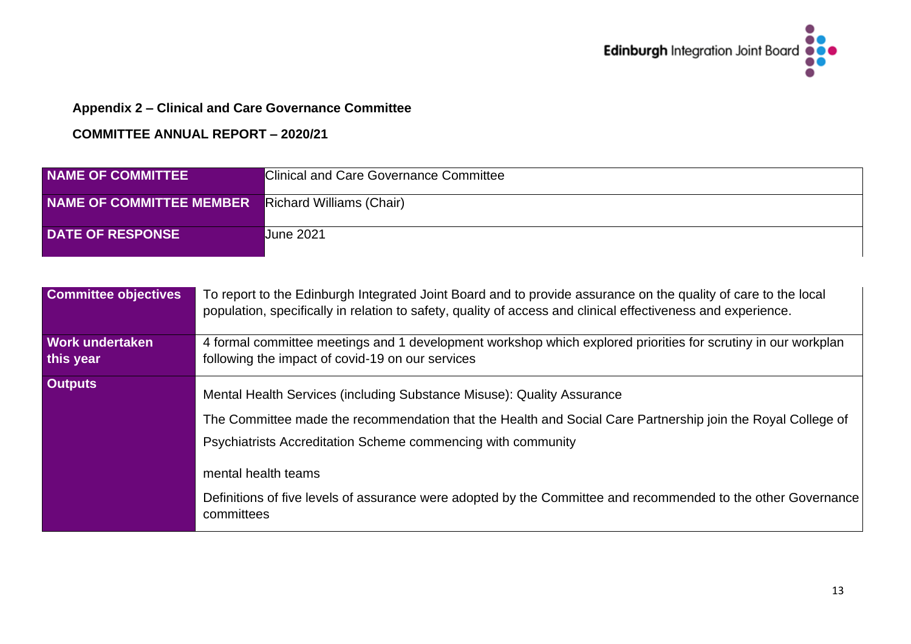

# **Appendix 2 – Clinical and Care Governance Committee**

| <b>NAME OF COMMITTEE</b>                          | Clinical and Care Governance Committee |
|---------------------------------------------------|----------------------------------------|
| NAME OF COMMITTEE MEMBER Richard Williams (Chair) |                                        |
| <b>DATE OF RESPONSE</b>                           | <b>June 2021</b>                       |

| <b>Committee objectives</b>         | To report to the Edinburgh Integrated Joint Board and to provide assurance on the quality of care to the local<br>population, specifically in relation to safety, quality of access and clinical effectiveness and experience.                                                                                                                                                                              |
|-------------------------------------|-------------------------------------------------------------------------------------------------------------------------------------------------------------------------------------------------------------------------------------------------------------------------------------------------------------------------------------------------------------------------------------------------------------|
| <b>Work undertaken</b><br>this year | 4 formal committee meetings and 1 development workshop which explored priorities for scrutiny in our workplan<br>following the impact of covid-19 on our services                                                                                                                                                                                                                                           |
| <b>Outputs</b>                      | Mental Health Services (including Substance Misuse): Quality Assurance<br>The Committee made the recommendation that the Health and Social Care Partnership join the Royal College of<br>Psychiatrists Accreditation Scheme commencing with community<br>mental health teams<br>Definitions of five levels of assurance were adopted by the Committee and recommended to the other Governance<br>committees |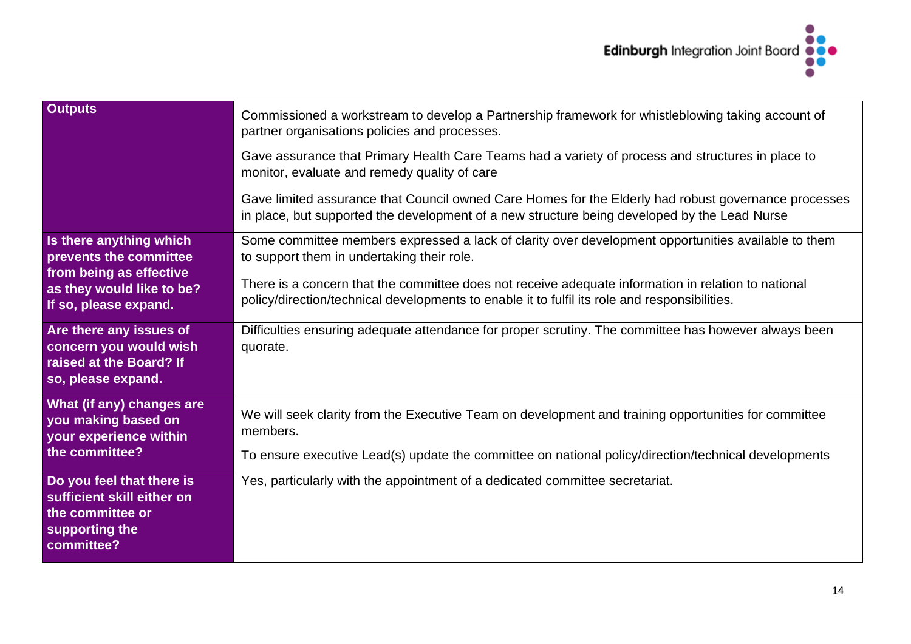

| <b>Outputs</b>                                                                                              | Commissioned a workstream to develop a Partnership framework for whistleblowing taking account of<br>partner organisations policies and processes.                                                   |  |  |
|-------------------------------------------------------------------------------------------------------------|------------------------------------------------------------------------------------------------------------------------------------------------------------------------------------------------------|--|--|
|                                                                                                             | Gave assurance that Primary Health Care Teams had a variety of process and structures in place to<br>monitor, evaluate and remedy quality of care                                                    |  |  |
|                                                                                                             | Gave limited assurance that Council owned Care Homes for the Elderly had robust governance processes<br>in place, but supported the development of a new structure being developed by the Lead Nurse |  |  |
| Is there anything which<br>prevents the committee                                                           | Some committee members expressed a lack of clarity over development opportunities available to them<br>to support them in undertaking their role.                                                    |  |  |
| from being as effective<br>as they would like to be?<br>If so, please expand.                               | There is a concern that the committee does not receive adequate information in relation to national<br>policy/direction/technical developments to enable it to fulfil its role and responsibilities. |  |  |
| Are there any issues of<br>concern you would wish<br>raised at the Board? If<br>so, please expand.          | Difficulties ensuring adequate attendance for proper scrutiny. The committee has however always been<br>quorate.                                                                                     |  |  |
| What (if any) changes are<br>you making based on<br>your experience within                                  | We will seek clarity from the Executive Team on development and training opportunities for committee<br>members.                                                                                     |  |  |
| the committee?                                                                                              | To ensure executive Lead(s) update the committee on national policy/direction/technical developments                                                                                                 |  |  |
| Do you feel that there is<br>sufficient skill either on<br>the committee or<br>supporting the<br>committee? | Yes, particularly with the appointment of a dedicated committee secretariat.                                                                                                                         |  |  |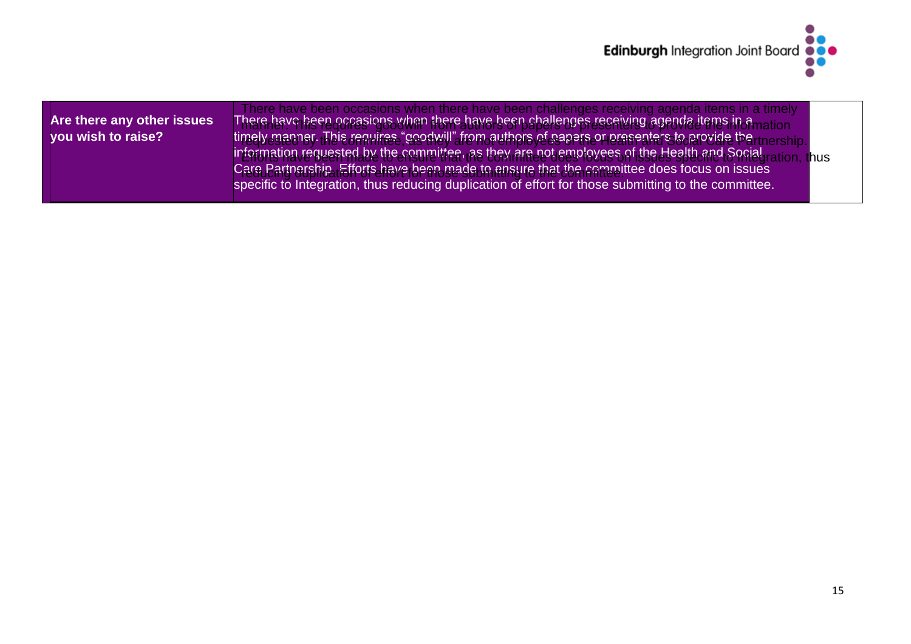

| Are there any other issues<br>you wish to raise? | There have been occasions when there have been challenges receiving agenda items in a timely<br>There have been occasions when there have been challenges receiving agenda items in amation<br>timely manner. This requires "goodwill" from authors of papers or presenters to provide the <sub>tinership</sub><br>information requested by the committee, as they are not employees of the Health and Social <sub>ration</sub><br>ation. thus<br>Care Partnership. Efforts have been made to ensure that the committee does focus on issues |  |
|--------------------------------------------------|----------------------------------------------------------------------------------------------------------------------------------------------------------------------------------------------------------------------------------------------------------------------------------------------------------------------------------------------------------------------------------------------------------------------------------------------------------------------------------------------------------------------------------------------|--|
|                                                  | specific to Integration, thus reducing duplication of effort for those submitting to the committee.                                                                                                                                                                                                                                                                                                                                                                                                                                          |  |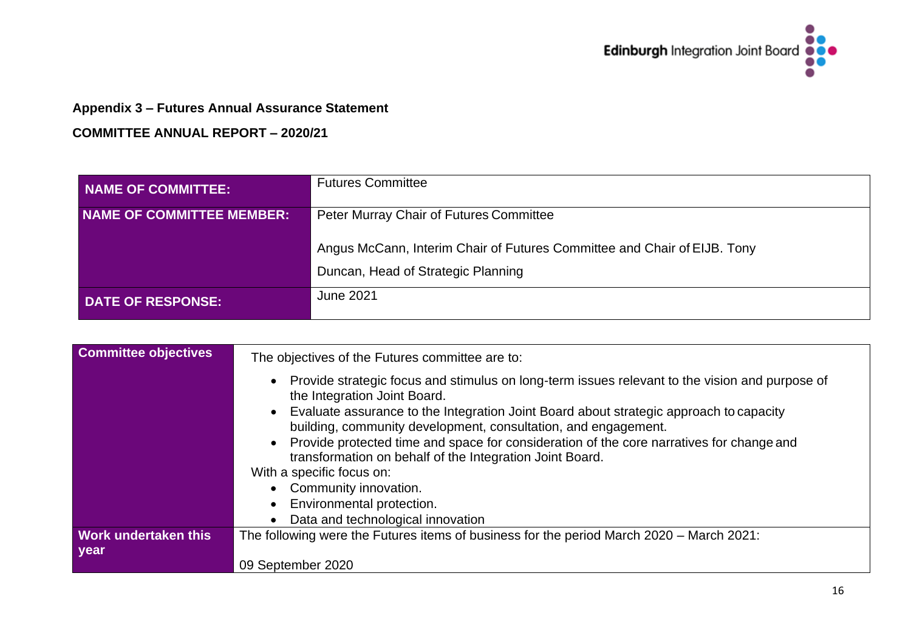

# **Appendix 3 – Futures Annual Assurance Statement**

| NAME OF COMMITTEE:        | <b>Futures Committee</b>                                                 |  |
|---------------------------|--------------------------------------------------------------------------|--|
| NAME OF COMMITTEE MEMBER: | <b>Peter Murray Chair of Futures Committee</b>                           |  |
|                           | Angus McCann, Interim Chair of Futures Committee and Chair of EIJB. Tony |  |
|                           | Duncan, Head of Strategic Planning                                       |  |
| <b>DATE OF RESPONSE:</b>  | June 2021                                                                |  |

| <b>Committee objectives</b> | The objectives of the Futures committee are to:                                                                                                            |  |  |
|-----------------------------|------------------------------------------------------------------------------------------------------------------------------------------------------------|--|--|
|                             | Provide strategic focus and stimulus on long-term issues relevant to the vision and purpose of<br>the Integration Joint Board.                             |  |  |
|                             | • Evaluate assurance to the Integration Joint Board about strategic approach to capacity<br>building, community development, consultation, and engagement. |  |  |
|                             | • Provide protected time and space for consideration of the core narratives for change and<br>transformation on behalf of the Integration Joint Board.     |  |  |
| With a specific focus on:   |                                                                                                                                                            |  |  |
|                             | • Community innovation.                                                                                                                                    |  |  |
|                             | Environmental protection.                                                                                                                                  |  |  |
|                             | Data and technological innovation                                                                                                                          |  |  |
| Work undertaken this        | The following were the Futures items of business for the period March 2020 – March 2021:                                                                   |  |  |
| year                        |                                                                                                                                                            |  |  |
|                             | 09 September 2020                                                                                                                                          |  |  |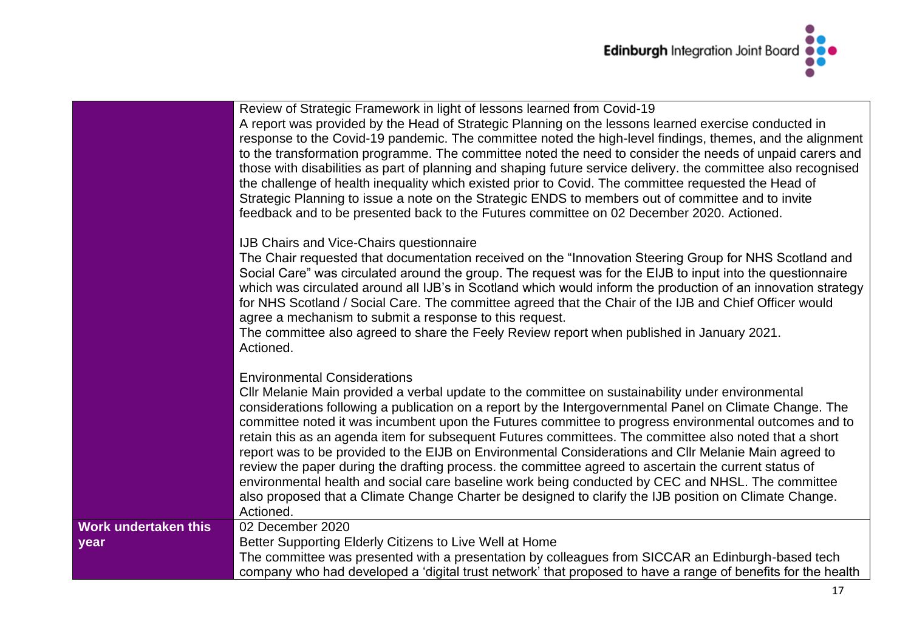

|                                     | Review of Strategic Framework in light of lessons learned from Covid-19<br>A report was provided by the Head of Strategic Planning on the lessons learned exercise conducted in<br>response to the Covid-19 pandemic. The committee noted the high-level findings, themes, and the alignment<br>to the transformation programme. The committee noted the need to consider the needs of unpaid carers and<br>those with disabilities as part of planning and shaping future service delivery. the committee also recognised<br>the challenge of health inequality which existed prior to Covid. The committee requested the Head of<br>Strategic Planning to issue a note on the Strategic ENDS to members out of committee and to invite<br>feedback and to be presented back to the Futures committee on 02 December 2020. Actioned.                                                                                 |
|-------------------------------------|-----------------------------------------------------------------------------------------------------------------------------------------------------------------------------------------------------------------------------------------------------------------------------------------------------------------------------------------------------------------------------------------------------------------------------------------------------------------------------------------------------------------------------------------------------------------------------------------------------------------------------------------------------------------------------------------------------------------------------------------------------------------------------------------------------------------------------------------------------------------------------------------------------------------------|
|                                     | IJB Chairs and Vice-Chairs questionnaire<br>The Chair requested that documentation received on the "Innovation Steering Group for NHS Scotland and<br>Social Care" was circulated around the group. The request was for the EIJB to input into the questionnaire<br>which was circulated around all IJB's in Scotland which would inform the production of an innovation strategy<br>for NHS Scotland / Social Care. The committee agreed that the Chair of the IJB and Chief Officer would<br>agree a mechanism to submit a response to this request.<br>The committee also agreed to share the Feely Review report when published in January 2021.<br>Actioned.                                                                                                                                                                                                                                                     |
|                                     | <b>Environmental Considerations</b><br>CIIr Melanie Main provided a verbal update to the committee on sustainability under environmental<br>considerations following a publication on a report by the Intergovernmental Panel on Climate Change. The<br>committee noted it was incumbent upon the Futures committee to progress environmental outcomes and to<br>retain this as an agenda item for subsequent Futures committees. The committee also noted that a short<br>report was to be provided to the EIJB on Environmental Considerations and CIIr Melanie Main agreed to<br>review the paper during the drafting process. the committee agreed to ascertain the current status of<br>environmental health and social care baseline work being conducted by CEC and NHSL. The committee<br>also proposed that a Climate Change Charter be designed to clarify the IJB position on Climate Change.<br>Actioned. |
| <b>Work undertaken this</b><br>year | 02 December 2020<br>Better Supporting Elderly Citizens to Live Well at Home<br>The committee was presented with a presentation by colleagues from SICCAR an Edinburgh-based tech<br>company who had developed a 'digital trust network' that proposed to have a range of benefits for the health                                                                                                                                                                                                                                                                                                                                                                                                                                                                                                                                                                                                                      |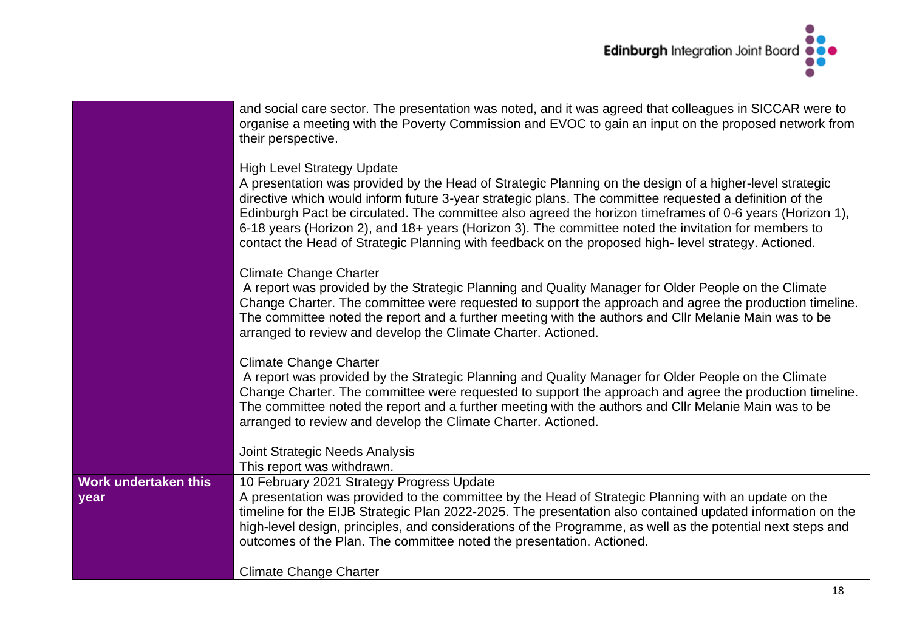

|                              | and social care sector. The presentation was noted, and it was agreed that colleagues in SICCAR were to<br>organise a meeting with the Poverty Commission and EVOC to gain an input on the proposed network from<br>their perspective.                                                                                                                                                                                                                                                                                                                                             |  |  |
|------------------------------|------------------------------------------------------------------------------------------------------------------------------------------------------------------------------------------------------------------------------------------------------------------------------------------------------------------------------------------------------------------------------------------------------------------------------------------------------------------------------------------------------------------------------------------------------------------------------------|--|--|
|                              | <b>High Level Strategy Update</b><br>A presentation was provided by the Head of Strategic Planning on the design of a higher-level strategic<br>directive which would inform future 3-year strategic plans. The committee requested a definition of the<br>Edinburgh Pact be circulated. The committee also agreed the horizon timeframes of 0-6 years (Horizon 1),<br>6-18 years (Horizon 2), and 18+ years (Horizon 3). The committee noted the invitation for members to<br>contact the Head of Strategic Planning with feedback on the proposed high-level strategy. Actioned. |  |  |
|                              | <b>Climate Change Charter</b><br>A report was provided by the Strategic Planning and Quality Manager for Older People on the Climate<br>Change Charter. The committee were requested to support the approach and agree the production timeline.<br>The committee noted the report and a further meeting with the authors and CIIr Melanie Main was to be<br>arranged to review and develop the Climate Charter. Actioned.                                                                                                                                                          |  |  |
|                              | <b>Climate Change Charter</b><br>A report was provided by the Strategic Planning and Quality Manager for Older People on the Climate<br>Change Charter. The committee were requested to support the approach and agree the production timeline.<br>The committee noted the report and a further meeting with the authors and CIIr Melanie Main was to be<br>arranged to review and develop the Climate Charter. Actioned.                                                                                                                                                          |  |  |
|                              | <b>Joint Strategic Needs Analysis</b><br>This report was withdrawn.                                                                                                                                                                                                                                                                                                                                                                                                                                                                                                                |  |  |
| Work undertaken this<br>year | 10 February 2021 Strategy Progress Update<br>A presentation was provided to the committee by the Head of Strategic Planning with an update on the<br>timeline for the EIJB Strategic Plan 2022-2025. The presentation also contained updated information on the<br>high-level design, principles, and considerations of the Programme, as well as the potential next steps and<br>outcomes of the Plan. The committee noted the presentation. Actioned.                                                                                                                            |  |  |
|                              | <b>Climate Change Charter</b>                                                                                                                                                                                                                                                                                                                                                                                                                                                                                                                                                      |  |  |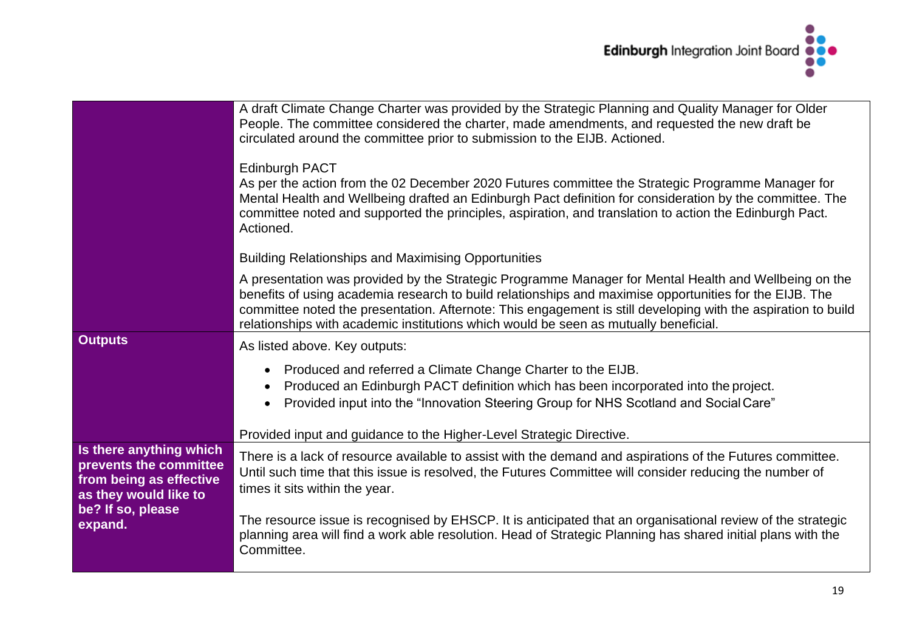

|                                                                                                       | A draft Climate Change Charter was provided by the Strategic Planning and Quality Manager for Older<br>People. The committee considered the charter, made amendments, and requested the new draft be<br>circulated around the committee prior to submission to the EIJB. Actioned.                                                                                                                                        |  |  |
|-------------------------------------------------------------------------------------------------------|---------------------------------------------------------------------------------------------------------------------------------------------------------------------------------------------------------------------------------------------------------------------------------------------------------------------------------------------------------------------------------------------------------------------------|--|--|
|                                                                                                       | <b>Edinburgh PACT</b><br>As per the action from the 02 December 2020 Futures committee the Strategic Programme Manager for<br>Mental Health and Wellbeing drafted an Edinburgh Pact definition for consideration by the committee. The<br>committee noted and supported the principles, aspiration, and translation to action the Edinburgh Pact.<br>Actioned.                                                            |  |  |
|                                                                                                       | <b>Building Relationships and Maximising Opportunities</b>                                                                                                                                                                                                                                                                                                                                                                |  |  |
|                                                                                                       | A presentation was provided by the Strategic Programme Manager for Mental Health and Wellbeing on the<br>benefits of using academia research to build relationships and maximise opportunities for the EIJB. The<br>committee noted the presentation. Afternote: This engagement is still developing with the aspiration to build<br>relationships with academic institutions which would be seen as mutually beneficial. |  |  |
| <b>Outputs</b>                                                                                        | As listed above. Key outputs:                                                                                                                                                                                                                                                                                                                                                                                             |  |  |
|                                                                                                       | Produced and referred a Climate Change Charter to the EIJB.<br>Produced an Edinburgh PACT definition which has been incorporated into the project.<br>Provided input into the "Innovation Steering Group for NHS Scotland and Social Care"                                                                                                                                                                                |  |  |
|                                                                                                       | Provided input and guidance to the Higher-Level Strategic Directive.                                                                                                                                                                                                                                                                                                                                                      |  |  |
| Is there anything which<br>prevents the committee<br>from being as effective<br>as they would like to | There is a lack of resource available to assist with the demand and aspirations of the Futures committee.<br>Until such time that this issue is resolved, the Futures Committee will consider reducing the number of<br>times it sits within the year.                                                                                                                                                                    |  |  |
| be? If so, please<br>expand.                                                                          | The resource issue is recognised by EHSCP. It is anticipated that an organisational review of the strategic<br>planning area will find a work able resolution. Head of Strategic Planning has shared initial plans with the<br>Committee.                                                                                                                                                                                 |  |  |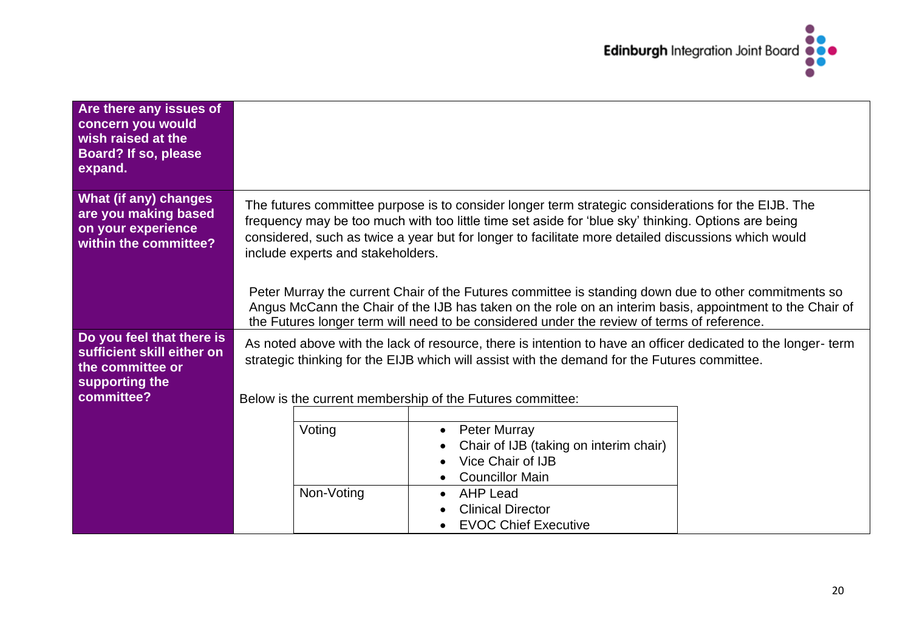

| Are there any issues of<br>concern you would<br>wish raised at the<br>Board? If so, please<br>expand.       |                                                                                                                                                                                                                                                                                                                                                                                                                                                                                                                                                                                                                                                                          |                                                                                                                                                                                                         |  |
|-------------------------------------------------------------------------------------------------------------|--------------------------------------------------------------------------------------------------------------------------------------------------------------------------------------------------------------------------------------------------------------------------------------------------------------------------------------------------------------------------------------------------------------------------------------------------------------------------------------------------------------------------------------------------------------------------------------------------------------------------------------------------------------------------|---------------------------------------------------------------------------------------------------------------------------------------------------------------------------------------------------------|--|
| What (if any) changes<br>are you making based<br>on your experience<br>within the committee?                | The futures committee purpose is to consider longer term strategic considerations for the EIJB. The<br>frequency may be too much with too little time set aside for 'blue sky' thinking. Options are being<br>considered, such as twice a year but for longer to facilitate more detailed discussions which would<br>include experts and stakeholders.<br>Peter Murray the current Chair of the Futures committee is standing down due to other commitments so<br>Angus McCann the Chair of the IJB has taken on the role on an interim basis, appointment to the Chair of<br>the Futures longer term will need to be considered under the review of terms of reference. |                                                                                                                                                                                                         |  |
| Do you feel that there is<br>sufficient skill either on<br>the committee or<br>supporting the<br>committee? | As noted above with the lack of resource, there is intention to have an officer dedicated to the longer-term<br>strategic thinking for the EIJB which will assist with the demand for the Futures committee.<br>Below is the current membership of the Futures committee:                                                                                                                                                                                                                                                                                                                                                                                                |                                                                                                                                                                                                         |  |
|                                                                                                             | Voting<br>Non-Voting                                                                                                                                                                                                                                                                                                                                                                                                                                                                                                                                                                                                                                                     | <b>Peter Murray</b><br>Chair of IJB (taking on interim chair)<br>Vice Chair of IJB<br><b>Councillor Main</b><br><b>AHP Lead</b><br><b>Clinical Director</b><br>$\bullet$<br><b>EVOC Chief Executive</b> |  |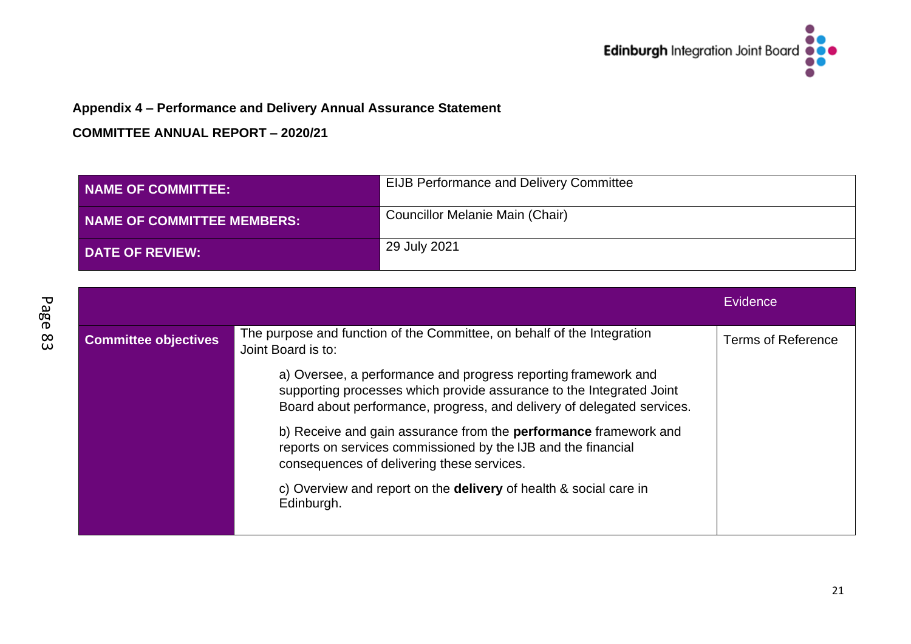

# **Appendix 4 – Performance and Delivery Annual Assurance Statement**

| <b>NAME OF COMMITTEE:</b>  | <b>EIJB Performance and Delivery Committee</b> |
|----------------------------|------------------------------------------------|
| NAME OF COMMITTEE MEMBERS: | Councillor Melanie Main (Chair)                |
| <b>DATE OF REVIEW:</b>     | 29 July 2021                                   |

|                             |                                                                                                                                                                                                                  | Evidence           |
|-----------------------------|------------------------------------------------------------------------------------------------------------------------------------------------------------------------------------------------------------------|--------------------|
| <b>Committee objectives</b> | The purpose and function of the Committee, on behalf of the Integration<br>Joint Board is to:                                                                                                                    | Terms of Reference |
|                             | a) Oversee, a performance and progress reporting framework and<br>supporting processes which provide assurance to the Integrated Joint<br>Board about performance, progress, and delivery of delegated services. |                    |
|                             | b) Receive and gain assurance from the <b>performance</b> framework and<br>reports on services commissioned by the IJB and the financial<br>consequences of delivering these services.                           |                    |
|                             | c) Overview and report on the delivery of health & social care in<br>Edinburgh.                                                                                                                                  |                    |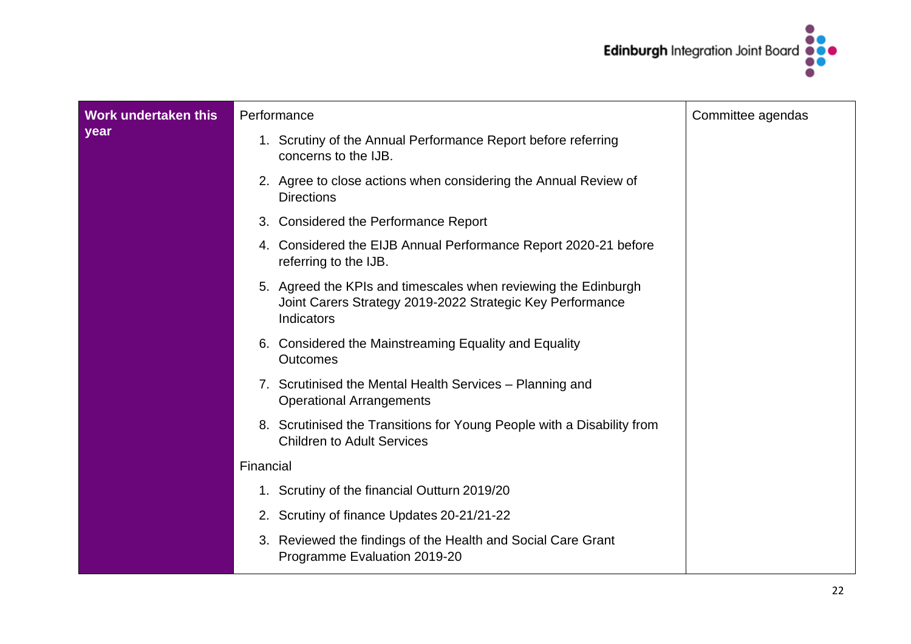

| Work undertaken this | Performance                                                                                                                               | Committee agendas |
|----------------------|-------------------------------------------------------------------------------------------------------------------------------------------|-------------------|
| year                 | 1. Scrutiny of the Annual Performance Report before referring<br>concerns to the IJB.                                                     |                   |
|                      | 2. Agree to close actions when considering the Annual Review of<br><b>Directions</b>                                                      |                   |
|                      | 3. Considered the Performance Report                                                                                                      |                   |
|                      | 4. Considered the EIJB Annual Performance Report 2020-21 before<br>referring to the IJB.                                                  |                   |
|                      | 5. Agreed the KPIs and timescales when reviewing the Edinburgh<br>Joint Carers Strategy 2019-2022 Strategic Key Performance<br>Indicators |                   |
|                      | 6. Considered the Mainstreaming Equality and Equality<br><b>Outcomes</b>                                                                  |                   |
|                      | 7. Scrutinised the Mental Health Services – Planning and<br><b>Operational Arrangements</b>                                               |                   |
|                      | 8. Scrutinised the Transitions for Young People with a Disability from<br><b>Children to Adult Services</b>                               |                   |
|                      | Financial                                                                                                                                 |                   |
|                      | 1. Scrutiny of the financial Outturn 2019/20                                                                                              |                   |
|                      | 2. Scrutiny of finance Updates 20-21/21-22                                                                                                |                   |
|                      | 3. Reviewed the findings of the Health and Social Care Grant<br>Programme Evaluation 2019-20                                              |                   |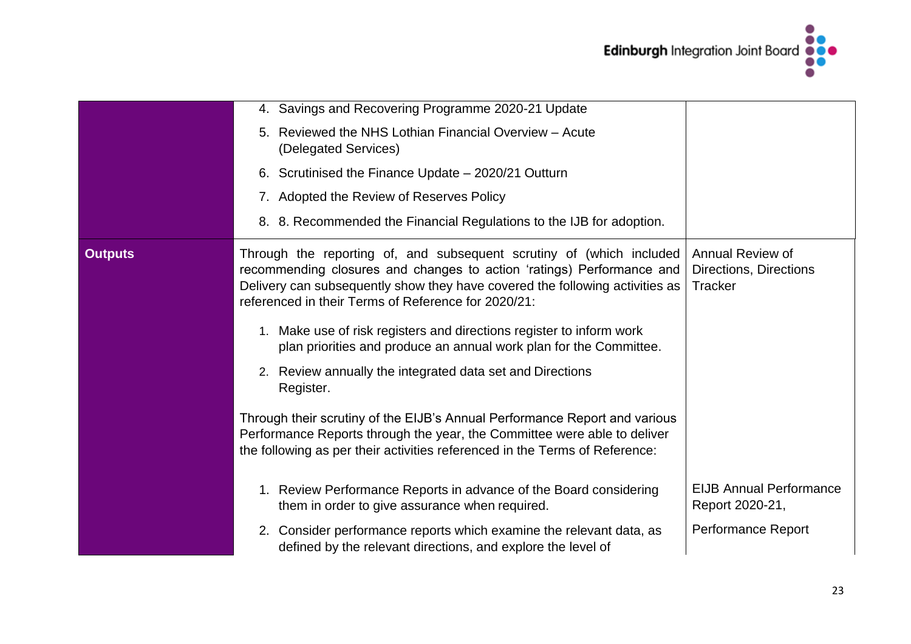

|                | 4. Savings and Recovering Programme 2020-21 Update                                                                                                                                                                                                                                   |                                                              |
|----------------|--------------------------------------------------------------------------------------------------------------------------------------------------------------------------------------------------------------------------------------------------------------------------------------|--------------------------------------------------------------|
|                | 5. Reviewed the NHS Lothian Financial Overview - Acute<br>(Delegated Services)                                                                                                                                                                                                       |                                                              |
|                | 6. Scrutinised the Finance Update - 2020/21 Outturn                                                                                                                                                                                                                                  |                                                              |
|                | 7. Adopted the Review of Reserves Policy                                                                                                                                                                                                                                             |                                                              |
|                | 8. 8. Recommended the Financial Regulations to the IJB for adoption.                                                                                                                                                                                                                 |                                                              |
| <b>Outputs</b> | Through the reporting of, and subsequent scrutiny of (which included<br>recommending closures and changes to action 'ratings) Performance and<br>Delivery can subsequently show they have covered the following activities as<br>referenced in their Terms of Reference for 2020/21: | Annual Review of<br>Directions, Directions<br><b>Tracker</b> |
|                | 1. Make use of risk registers and directions register to inform work<br>plan priorities and produce an annual work plan for the Committee.                                                                                                                                           |                                                              |
|                | 2. Review annually the integrated data set and Directions<br>Register.                                                                                                                                                                                                               |                                                              |
|                | Through their scrutiny of the EIJB's Annual Performance Report and various<br>Performance Reports through the year, the Committee were able to deliver<br>the following as per their activities referenced in the Terms of Reference:                                                |                                                              |
|                | 1. Review Performance Reports in advance of the Board considering<br>them in order to give assurance when required.                                                                                                                                                                  | <b>EIJB Annual Performance</b><br>Report 2020-21,            |
|                | 2. Consider performance reports which examine the relevant data, as<br>defined by the relevant directions, and explore the level of                                                                                                                                                  | Performance Report                                           |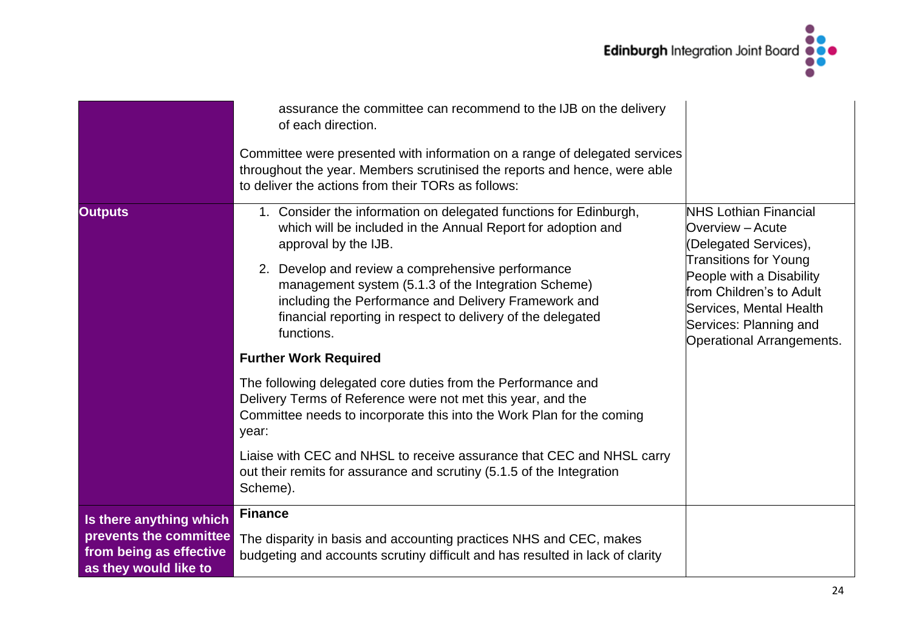

|                                                                                                       | assurance the committee can recommend to the IJB on the delivery<br>of each direction.<br>Committee were presented with information on a range of delegated services<br>throughout the year. Members scrutinised the reports and hence, were able<br>to deliver the actions from their TORs as follows:                                                                                                                                    |                                                                                                                                                                                                                                                     |
|-------------------------------------------------------------------------------------------------------|--------------------------------------------------------------------------------------------------------------------------------------------------------------------------------------------------------------------------------------------------------------------------------------------------------------------------------------------------------------------------------------------------------------------------------------------|-----------------------------------------------------------------------------------------------------------------------------------------------------------------------------------------------------------------------------------------------------|
| <b>Outputs</b>                                                                                        | 1. Consider the information on delegated functions for Edinburgh,<br>which will be included in the Annual Report for adoption and<br>approval by the IJB.<br>2. Develop and review a comprehensive performance<br>management system (5.1.3 of the Integration Scheme)<br>including the Performance and Delivery Framework and<br>financial reporting in respect to delivery of the delegated<br>functions.<br><b>Further Work Required</b> | <b>NHS Lothian Financial</b><br>Overview - Acute<br>(Delegated Services),<br><b>Transitions for Young</b><br>People with a Disability<br>from Children's to Adult<br>Services, Mental Health<br>Services: Planning and<br>Operational Arrangements. |
|                                                                                                       | The following delegated core duties from the Performance and<br>Delivery Terms of Reference were not met this year, and the<br>Committee needs to incorporate this into the Work Plan for the coming<br>year:<br>Liaise with CEC and NHSL to receive assurance that CEC and NHSL carry                                                                                                                                                     |                                                                                                                                                                                                                                                     |
|                                                                                                       | out their remits for assurance and scrutiny (5.1.5 of the Integration<br>Scheme).                                                                                                                                                                                                                                                                                                                                                          |                                                                                                                                                                                                                                                     |
| Is there anything which<br>prevents the committee<br>from being as effective<br>as they would like to | <b>Finance</b><br>The disparity in basis and accounting practices NHS and CEC, makes<br>budgeting and accounts scrutiny difficult and has resulted in lack of clarity                                                                                                                                                                                                                                                                      |                                                                                                                                                                                                                                                     |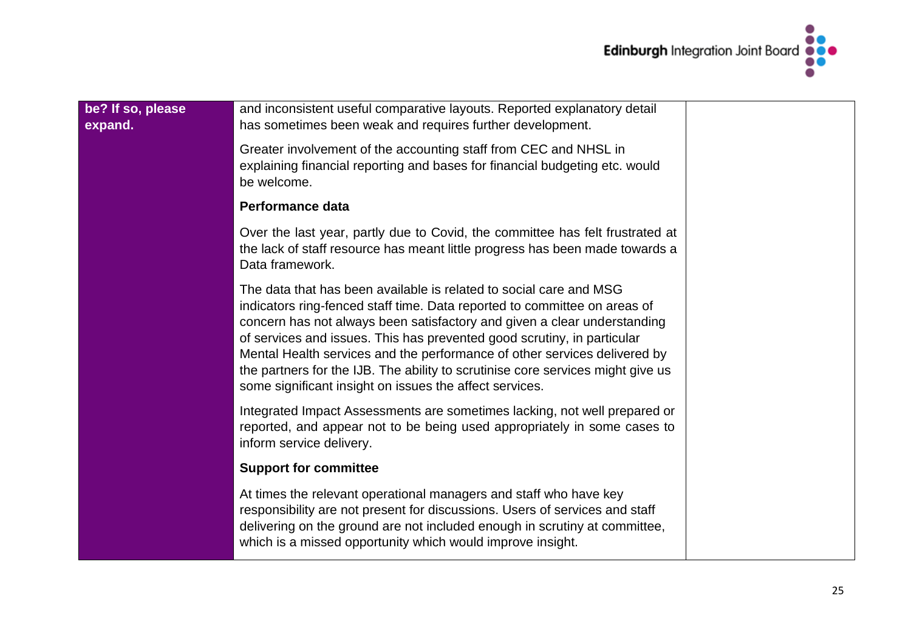

| be? If so, please<br>expand. | and inconsistent useful comparative layouts. Reported explanatory detail<br>has sometimes been weak and requires further development.                                                                                                                                                                                                                                                                                                                                                                                             |  |
|------------------------------|-----------------------------------------------------------------------------------------------------------------------------------------------------------------------------------------------------------------------------------------------------------------------------------------------------------------------------------------------------------------------------------------------------------------------------------------------------------------------------------------------------------------------------------|--|
|                              | Greater involvement of the accounting staff from CEC and NHSL in<br>explaining financial reporting and bases for financial budgeting etc. would<br>be welcome.                                                                                                                                                                                                                                                                                                                                                                    |  |
|                              | <b>Performance data</b>                                                                                                                                                                                                                                                                                                                                                                                                                                                                                                           |  |
|                              | Over the last year, partly due to Covid, the committee has felt frustrated at<br>the lack of staff resource has meant little progress has been made towards a<br>Data framework.                                                                                                                                                                                                                                                                                                                                                  |  |
|                              | The data that has been available is related to social care and MSG<br>indicators ring-fenced staff time. Data reported to committee on areas of<br>concern has not always been satisfactory and given a clear understanding<br>of services and issues. This has prevented good scrutiny, in particular<br>Mental Health services and the performance of other services delivered by<br>the partners for the IJB. The ability to scrutinise core services might give us<br>some significant insight on issues the affect services. |  |
|                              | Integrated Impact Assessments are sometimes lacking, not well prepared or<br>reported, and appear not to be being used appropriately in some cases to<br>inform service delivery.                                                                                                                                                                                                                                                                                                                                                 |  |
|                              | <b>Support for committee</b>                                                                                                                                                                                                                                                                                                                                                                                                                                                                                                      |  |
|                              | At times the relevant operational managers and staff who have key<br>responsibility are not present for discussions. Users of services and staff<br>delivering on the ground are not included enough in scrutiny at committee,<br>which is a missed opportunity which would improve insight.                                                                                                                                                                                                                                      |  |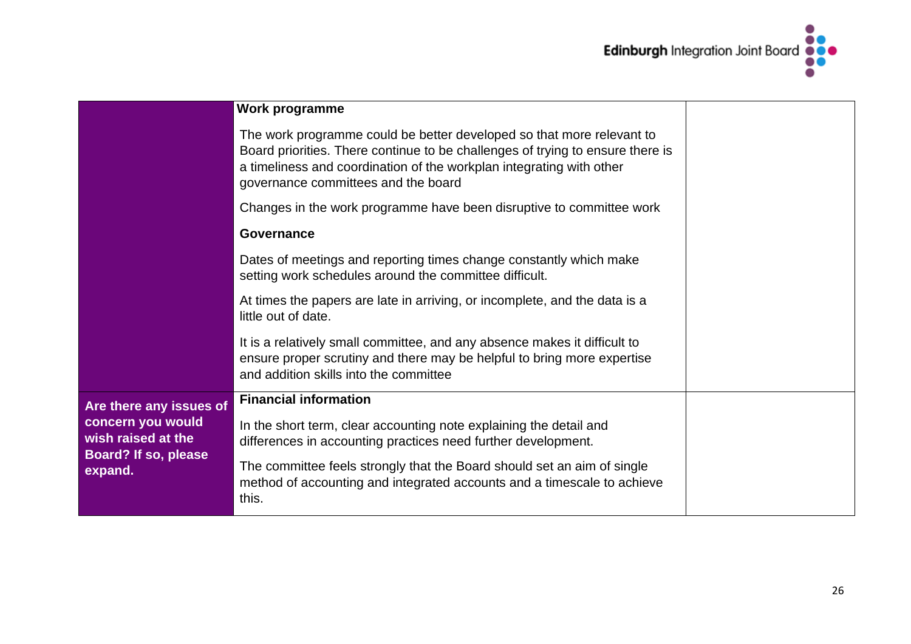

|                                                                            | Work programme                                                                                                                                                                                                                                                         |  |
|----------------------------------------------------------------------------|------------------------------------------------------------------------------------------------------------------------------------------------------------------------------------------------------------------------------------------------------------------------|--|
|                                                                            | The work programme could be better developed so that more relevant to<br>Board priorities. There continue to be challenges of trying to ensure there is<br>a timeliness and coordination of the workplan integrating with other<br>governance committees and the board |  |
|                                                                            | Changes in the work programme have been disruptive to committee work                                                                                                                                                                                                   |  |
|                                                                            | <b>Governance</b>                                                                                                                                                                                                                                                      |  |
|                                                                            | Dates of meetings and reporting times change constantly which make<br>setting work schedules around the committee difficult.                                                                                                                                           |  |
|                                                                            | At times the papers are late in arriving, or incomplete, and the data is a<br>little out of date.                                                                                                                                                                      |  |
|                                                                            | It is a relatively small committee, and any absence makes it difficult to<br>ensure proper scrutiny and there may be helpful to bring more expertise<br>and addition skills into the committee                                                                         |  |
| Are there any issues of                                                    | <b>Financial information</b>                                                                                                                                                                                                                                           |  |
| concern you would<br>wish raised at the<br>Board? If so, please<br>expand. | In the short term, clear accounting note explaining the detail and<br>differences in accounting practices need further development.                                                                                                                                    |  |
|                                                                            | The committee feels strongly that the Board should set an aim of single<br>method of accounting and integrated accounts and a timescale to achieve<br>this.                                                                                                            |  |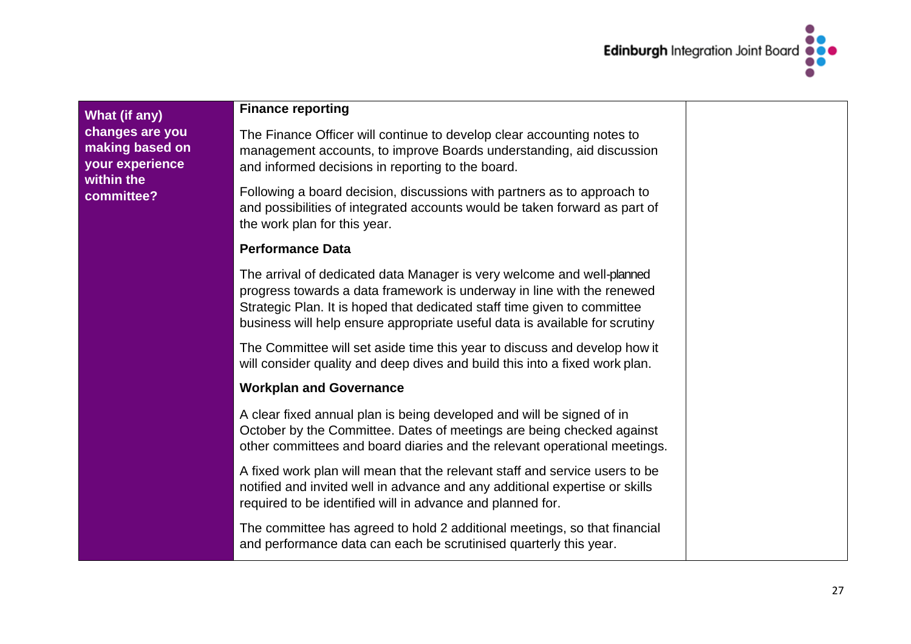

**What (if any) changes are you making based on your experience within the committee?**

#### **Finance reporting**

The Finance Officer will continue to develop clear accounting notes to management accounts, to improve Boards understanding, aid discussion and informed decisions in reporting to the board.

Following a board decision, discussions with partners as to approach to and possibilities of integrated accounts would be taken forward as part of the work plan for this year.

#### **Performance Data**

The arrival of dedicated data Manager is very welcome and well-planned progress towards a data framework is underway in line with the renewed Strategic Plan. It is hoped that dedicated staff time given to committee business will help ensure appropriate useful data is available for scrutiny

The Committee will set aside time this year to discuss and develop how it will consider quality and deep dives and build this into a fixed work plan.

### **Workplan and Governance**

A clear fixed annual plan is being developed and will be signed of in October by the Committee. Dates of meetings are being checked against other committees and board diaries and the relevant operational meetings.

A fixed work plan will mean that the relevant staff and service users to be notified and invited well in advance and any additional expertise or skills required to be identified will in advance and planned for.

The committee has agreed to hold 2 additional meetings, so that financial and performance data can each be scrutinised quarterly this year.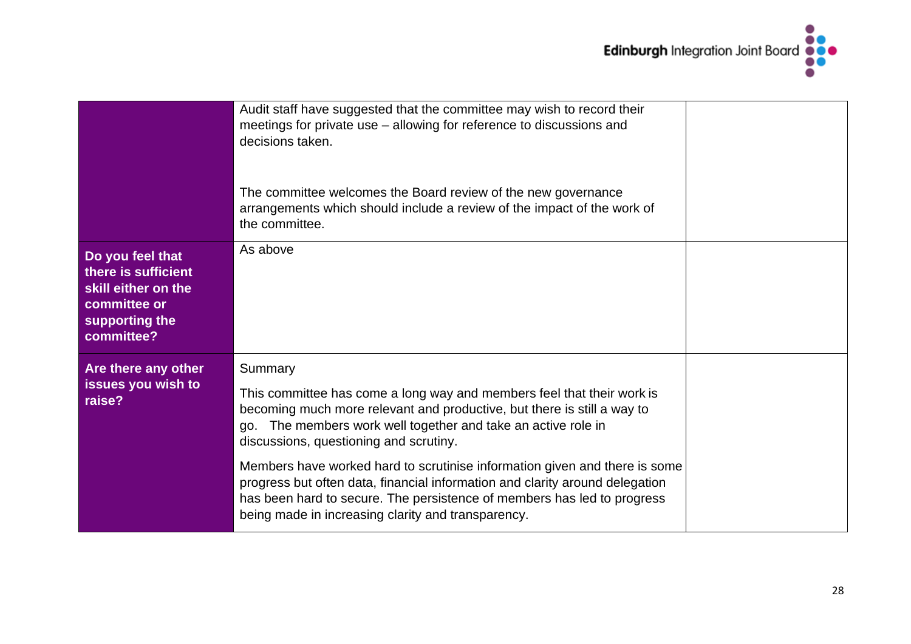

|                                                                                                                | Audit staff have suggested that the committee may wish to record their<br>meetings for private use - allowing for reference to discussions and<br>decisions taken.<br>The committee welcomes the Board review of the new governance<br>arrangements which should include a review of the impact of the work of<br>the committee.                                                                                                                                                                                                                                       |  |
|----------------------------------------------------------------------------------------------------------------|------------------------------------------------------------------------------------------------------------------------------------------------------------------------------------------------------------------------------------------------------------------------------------------------------------------------------------------------------------------------------------------------------------------------------------------------------------------------------------------------------------------------------------------------------------------------|--|
| Do you feel that<br>there is sufficient<br>skill either on the<br>committee or<br>supporting the<br>committee? | As above                                                                                                                                                                                                                                                                                                                                                                                                                                                                                                                                                               |  |
| Are there any other<br>issues you wish to<br>raise?                                                            | Summary<br>This committee has come a long way and members feel that their work is<br>becoming much more relevant and productive, but there is still a way to<br>go. The members work well together and take an active role in<br>discussions, questioning and scrutiny.<br>Members have worked hard to scrutinise information given and there is some<br>progress but often data, financial information and clarity around delegation<br>has been hard to secure. The persistence of members has led to progress<br>being made in increasing clarity and transparency. |  |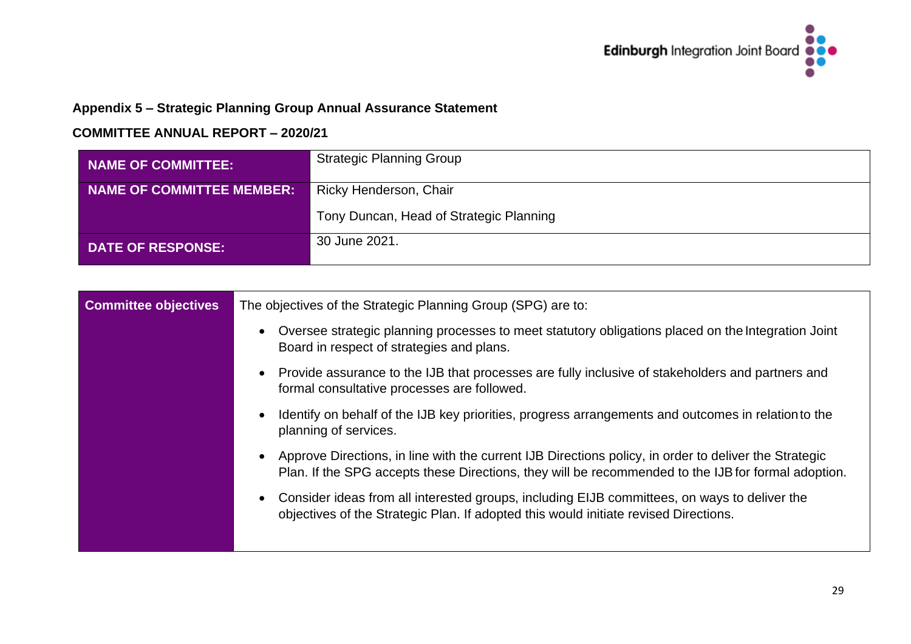

# **Appendix 5 – Strategic Planning Group Annual Assurance Statement**

| NAME OF COMMITTEE:        | <b>Strategic Planning Group</b>         |
|---------------------------|-----------------------------------------|
| NAME OF COMMITTEE MEMBER: | Ricky Henderson, Chair                  |
|                           | Tony Duncan, Head of Strategic Planning |
| <b>DATE OF RESPONSE:</b>  | 30 June 2021.                           |

| <b>Committee objectives</b> | The objectives of the Strategic Planning Group (SPG) are to:                                                                                                                                                              |
|-----------------------------|---------------------------------------------------------------------------------------------------------------------------------------------------------------------------------------------------------------------------|
|                             | Oversee strategic planning processes to meet statutory obligations placed on the Integration Joint<br>$\bullet$<br>Board in respect of strategies and plans.                                                              |
|                             | Provide assurance to the IJB that processes are fully inclusive of stakeholders and partners and<br>$\bullet$<br>formal consultative processes are followed.                                                              |
|                             | Identify on behalf of the IJB key priorities, progress arrangements and outcomes in relation to the<br>$\bullet$<br>planning of services.                                                                                 |
|                             | Approve Directions, in line with the current IJB Directions policy, in order to deliver the Strategic<br>$\bullet$<br>Plan. If the SPG accepts these Directions, they will be recommended to the IJB for formal adoption. |
|                             | Consider ideas from all interested groups, including EIJB committees, on ways to deliver the<br>$\bullet$<br>objectives of the Strategic Plan. If adopted this would initiate revised Directions.                         |
|                             |                                                                                                                                                                                                                           |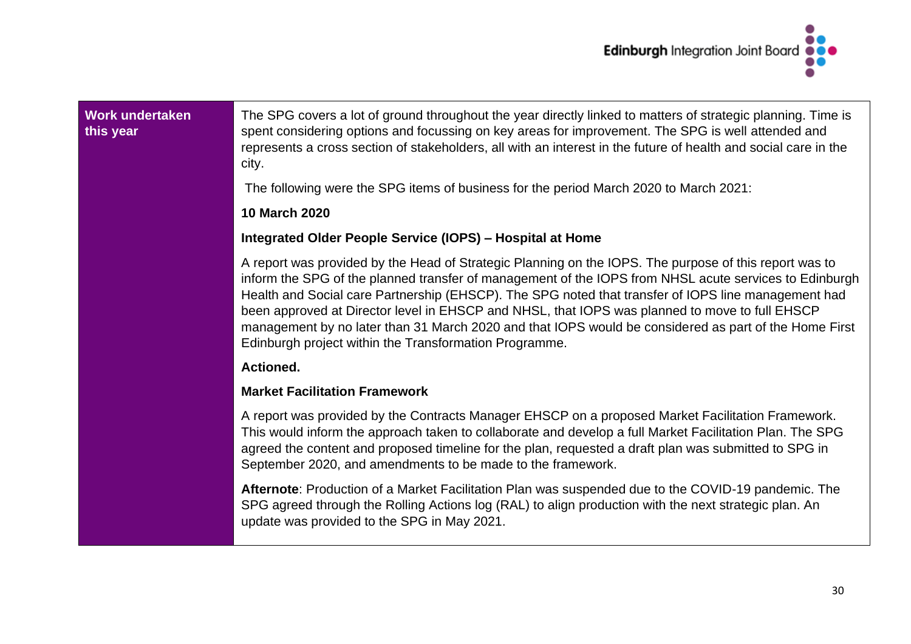

#### **Work undertaken this year**

The SPG covers a lot of ground throughout the year directly linked to matters of strategic planning. Time is spent considering options and focussing on key areas for improvement. The SPG is well attended and represents a cross section of stakeholders, all with an interest in the future of health and social care in the city.

The following were the SPG items of business for the period March 2020 to March 2021:

#### **10 March 2020**

#### **Integrated Older People Service (IOPS) – Hospital at Home**

A report was provided by the Head of Strategic Planning on the IOPS. The purpose of this report was to inform the SPG of the planned transfer of management of the IOPS from NHSL acute services to Edinburgh Health and Social care Partnership (EHSCP). The SPG noted that transfer of IOPS line management had been approved at Director level in EHSCP and NHSL, that IOPS was planned to move to full EHSCP management by no later than 31 March 2020 and that IOPS would be considered as part of the Home First Edinburgh project within the Transformation Programme.

#### **Actioned.**

#### **Market Facilitation Framework**

A report was provided by the Contracts Manager EHSCP on a proposed Market Facilitation Framework. This would inform the approach taken to collaborate and develop a full Market Facilitation Plan. The SPG agreed the content and proposed timeline for the plan, requested a draft plan was submitted to SPG in September 2020, and amendments to be made to the framework.

**Afternote**: Production of a Market Facilitation Plan was suspended due to the COVID-19 pandemic. The SPG agreed through the Rolling Actions log (RAL) to align production with the next strategic plan. An update was provided to the SPG in May 2021.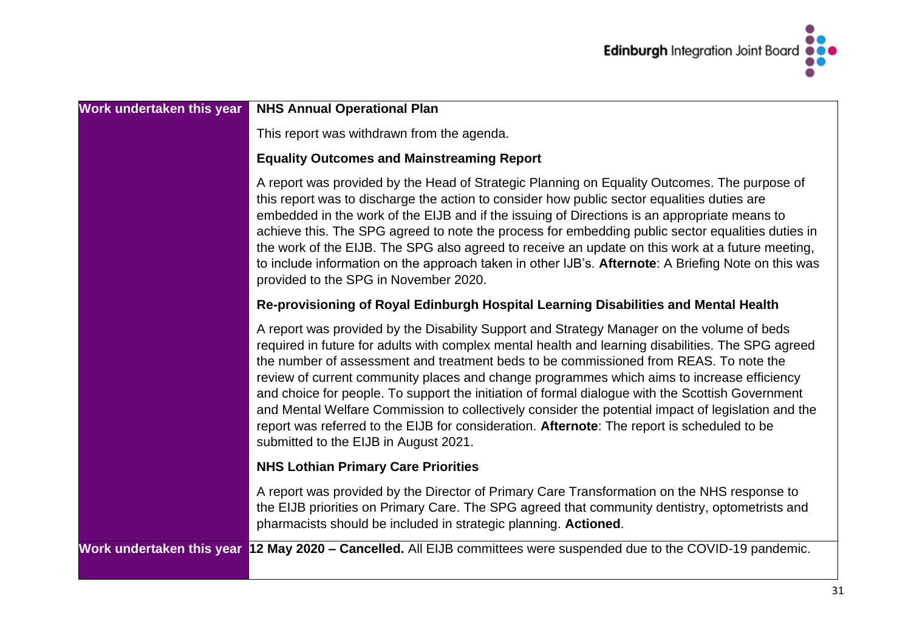

| Work undertaken this year | <b>NHS Annual Operational Plan</b>                                                                                                                                                                                                                                                                                                                                                                                                                                                                                                                                                                                                                                                                                                        |
|---------------------------|-------------------------------------------------------------------------------------------------------------------------------------------------------------------------------------------------------------------------------------------------------------------------------------------------------------------------------------------------------------------------------------------------------------------------------------------------------------------------------------------------------------------------------------------------------------------------------------------------------------------------------------------------------------------------------------------------------------------------------------------|
|                           | This report was withdrawn from the agenda.                                                                                                                                                                                                                                                                                                                                                                                                                                                                                                                                                                                                                                                                                                |
|                           | <b>Equality Outcomes and Mainstreaming Report</b>                                                                                                                                                                                                                                                                                                                                                                                                                                                                                                                                                                                                                                                                                         |
|                           | A report was provided by the Head of Strategic Planning on Equality Outcomes. The purpose of<br>this report was to discharge the action to consider how public sector equalities duties are<br>embedded in the work of the EIJB and if the issuing of Directions is an appropriate means to<br>achieve this. The SPG agreed to note the process for embedding public sector equalities duties in<br>the work of the EIJB. The SPG also agreed to receive an update on this work at a future meeting,<br>to include information on the approach taken in other IJB's. Afternote: A Briefing Note on this was<br>provided to the SPG in November 2020.                                                                                      |
|                           | Re-provisioning of Royal Edinburgh Hospital Learning Disabilities and Mental Health                                                                                                                                                                                                                                                                                                                                                                                                                                                                                                                                                                                                                                                       |
|                           | A report was provided by the Disability Support and Strategy Manager on the volume of beds<br>required in future for adults with complex mental health and learning disabilities. The SPG agreed<br>the number of assessment and treatment beds to be commissioned from REAS. To note the<br>review of current community places and change programmes which aims to increase efficiency<br>and choice for people. To support the initiation of formal dialogue with the Scottish Government<br>and Mental Welfare Commission to collectively consider the potential impact of legislation and the<br>report was referred to the EIJB for consideration. Afternote: The report is scheduled to be<br>submitted to the EIJB in August 2021. |
|                           | <b>NHS Lothian Primary Care Priorities</b>                                                                                                                                                                                                                                                                                                                                                                                                                                                                                                                                                                                                                                                                                                |
|                           | A report was provided by the Director of Primary Care Transformation on the NHS response to<br>the EIJB priorities on Primary Care. The SPG agreed that community dentistry, optometrists and<br>pharmacists should be included in strategic planning. Actioned.                                                                                                                                                                                                                                                                                                                                                                                                                                                                          |
|                           | Work undertaken this year 12 May 2020 – Cancelled. All EIJB committees were suspended due to the COVID-19 pandemic.                                                                                                                                                                                                                                                                                                                                                                                                                                                                                                                                                                                                                       |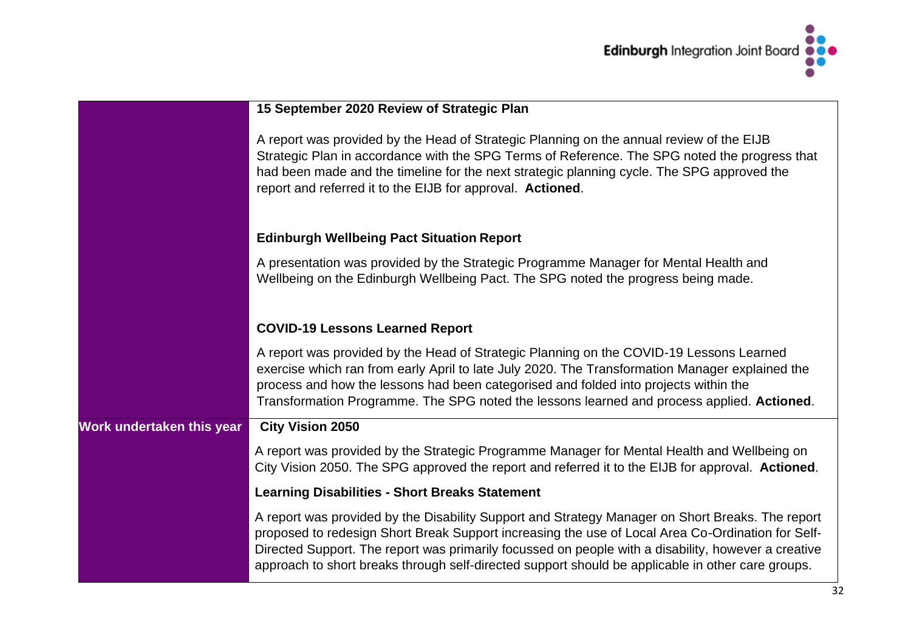

|                           | 15 September 2020 Review of Strategic Plan                                                                                                                                                                                                                                                                                                                                                                        |
|---------------------------|-------------------------------------------------------------------------------------------------------------------------------------------------------------------------------------------------------------------------------------------------------------------------------------------------------------------------------------------------------------------------------------------------------------------|
|                           | A report was provided by the Head of Strategic Planning on the annual review of the EIJB<br>Strategic Plan in accordance with the SPG Terms of Reference. The SPG noted the progress that<br>had been made and the timeline for the next strategic planning cycle. The SPG approved the<br>report and referred it to the EIJB for approval. Actioned.                                                             |
|                           | <b>Edinburgh Wellbeing Pact Situation Report</b>                                                                                                                                                                                                                                                                                                                                                                  |
|                           | A presentation was provided by the Strategic Programme Manager for Mental Health and<br>Wellbeing on the Edinburgh Wellbeing Pact. The SPG noted the progress being made.                                                                                                                                                                                                                                         |
|                           | <b>COVID-19 Lessons Learned Report</b>                                                                                                                                                                                                                                                                                                                                                                            |
|                           | A report was provided by the Head of Strategic Planning on the COVID-19 Lessons Learned<br>exercise which ran from early April to late July 2020. The Transformation Manager explained the<br>process and how the lessons had been categorised and folded into projects within the<br>Transformation Programme. The SPG noted the lessons learned and process applied. Actioned.                                  |
| Work undertaken this year | <b>City Vision 2050</b>                                                                                                                                                                                                                                                                                                                                                                                           |
|                           | A report was provided by the Strategic Programme Manager for Mental Health and Wellbeing on<br>City Vision 2050. The SPG approved the report and referred it to the EIJB for approval. Actioned.                                                                                                                                                                                                                  |
|                           | <b>Learning Disabilities - Short Breaks Statement</b>                                                                                                                                                                                                                                                                                                                                                             |
|                           | A report was provided by the Disability Support and Strategy Manager on Short Breaks. The report<br>proposed to redesign Short Break Support increasing the use of Local Area Co-Ordination for Self-<br>Directed Support. The report was primarily focussed on people with a disability, however a creative<br>approach to short breaks through self-directed support should be applicable in other care groups. |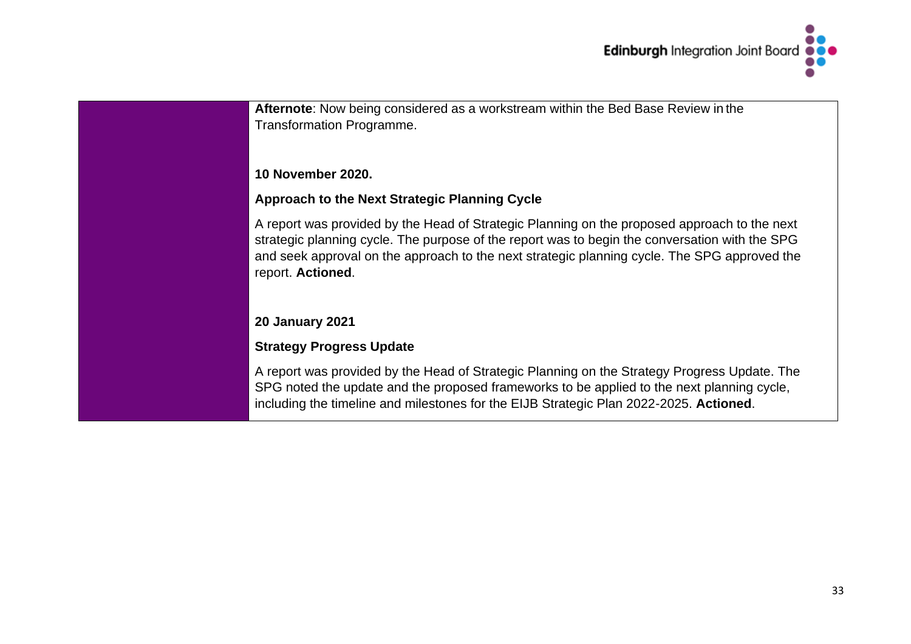

| Afternote: Now being considered as a workstream within the Bed Base Review in the<br><b>Transformation Programme.</b>                                                                                                                                                                                               |
|---------------------------------------------------------------------------------------------------------------------------------------------------------------------------------------------------------------------------------------------------------------------------------------------------------------------|
| <b>10 November 2020.</b>                                                                                                                                                                                                                                                                                            |
| <b>Approach to the Next Strategic Planning Cycle</b>                                                                                                                                                                                                                                                                |
| A report was provided by the Head of Strategic Planning on the proposed approach to the next<br>strategic planning cycle. The purpose of the report was to begin the conversation with the SPG<br>and seek approval on the approach to the next strategic planning cycle. The SPG approved the<br>report. Actioned. |
| <b>20 January 2021</b>                                                                                                                                                                                                                                                                                              |
| <b>Strategy Progress Update</b>                                                                                                                                                                                                                                                                                     |
| A report was provided by the Head of Strategic Planning on the Strategy Progress Update. The<br>SPG noted the update and the proposed frameworks to be applied to the next planning cycle,<br>including the timeline and milestones for the EIJB Strategic Plan 2022-2025. Actioned.                                |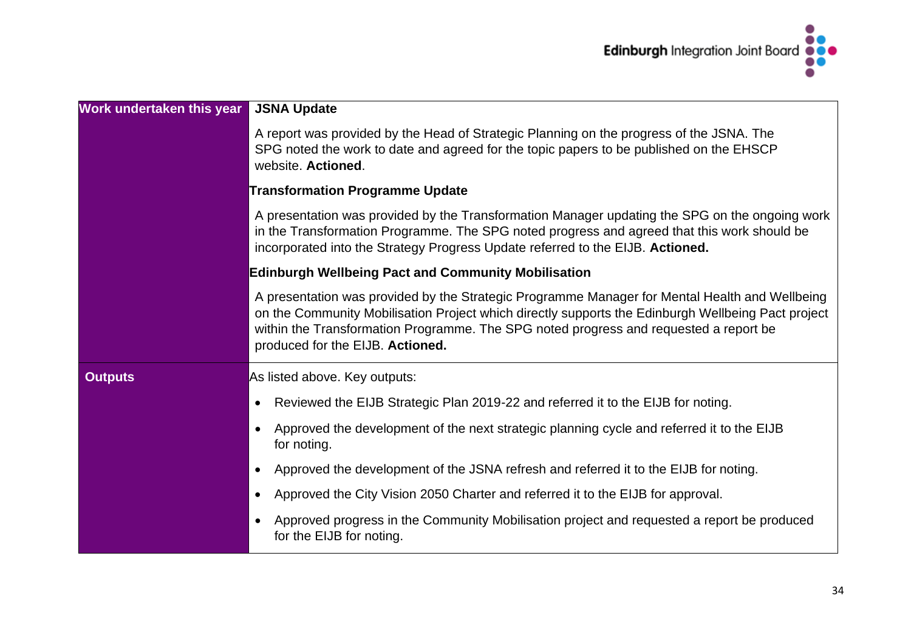

| Work undertaken this year | <b>JSNA Update</b>                                                                                                                                                                                                                                                                                                                |
|---------------------------|-----------------------------------------------------------------------------------------------------------------------------------------------------------------------------------------------------------------------------------------------------------------------------------------------------------------------------------|
|                           | A report was provided by the Head of Strategic Planning on the progress of the JSNA. The<br>SPG noted the work to date and agreed for the topic papers to be published on the EHSCP<br>website. Actioned.                                                                                                                         |
|                           | <b>Transformation Programme Update</b>                                                                                                                                                                                                                                                                                            |
|                           | A presentation was provided by the Transformation Manager updating the SPG on the ongoing work<br>in the Transformation Programme. The SPG noted progress and agreed that this work should be<br>incorporated into the Strategy Progress Update referred to the EIJB. Actioned.                                                   |
|                           | <b>Edinburgh Wellbeing Pact and Community Mobilisation</b>                                                                                                                                                                                                                                                                        |
|                           | A presentation was provided by the Strategic Programme Manager for Mental Health and Wellbeing<br>on the Community Mobilisation Project which directly supports the Edinburgh Wellbeing Pact project<br>within the Transformation Programme. The SPG noted progress and requested a report be<br>produced for the EIJB. Actioned. |
| <b>Outputs</b>            | As listed above. Key outputs:                                                                                                                                                                                                                                                                                                     |
|                           | Reviewed the EIJB Strategic Plan 2019-22 and referred it to the EIJB for noting.<br>$\bullet$                                                                                                                                                                                                                                     |
|                           | Approved the development of the next strategic planning cycle and referred it to the EIJB<br>$\bullet$<br>for noting.                                                                                                                                                                                                             |
|                           | Approved the development of the JSNA refresh and referred it to the EIJB for noting.<br>$\bullet$                                                                                                                                                                                                                                 |
|                           | Approved the City Vision 2050 Charter and referred it to the EIJB for approval.<br>$\bullet$                                                                                                                                                                                                                                      |
|                           | Approved progress in the Community Mobilisation project and requested a report be produced<br>$\bullet$<br>for the EIJB for noting.                                                                                                                                                                                               |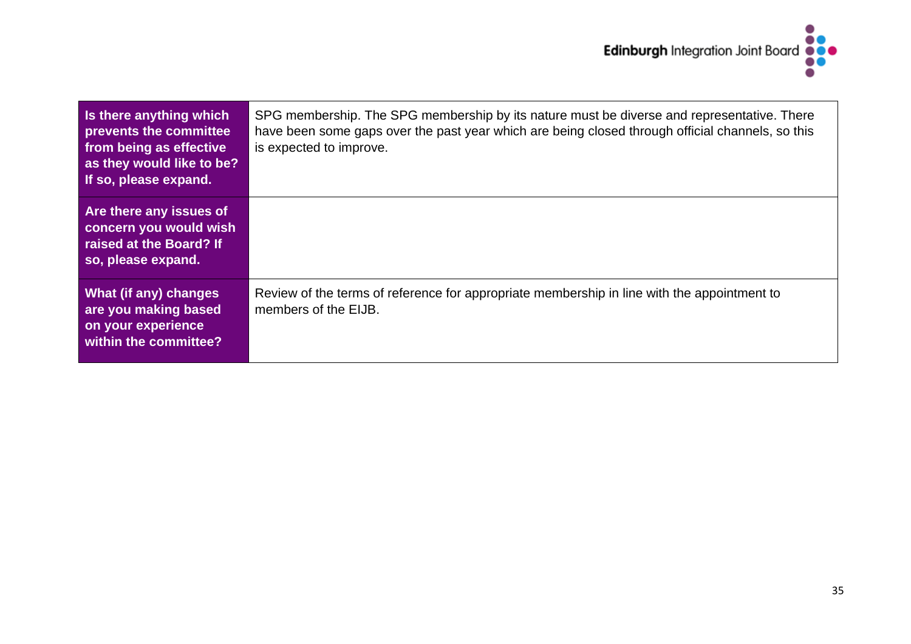

| Is there anything which<br>prevents the committee<br>from being as effective<br>as they would like to be?<br>If so, please expand. | SPG membership. The SPG membership by its nature must be diverse and representative. There<br>have been some gaps over the past year which are being closed through official channels, so this<br>is expected to improve. |
|------------------------------------------------------------------------------------------------------------------------------------|---------------------------------------------------------------------------------------------------------------------------------------------------------------------------------------------------------------------------|
| Are there any issues of<br>concern you would wish<br>raised at the Board? If<br>so, please expand.                                 |                                                                                                                                                                                                                           |
| <b>What (if any) changes</b><br>are you making based<br>on your experience<br>within the committee?                                | Review of the terms of reference for appropriate membership in line with the appointment to<br>members of the EIJB.                                                                                                       |